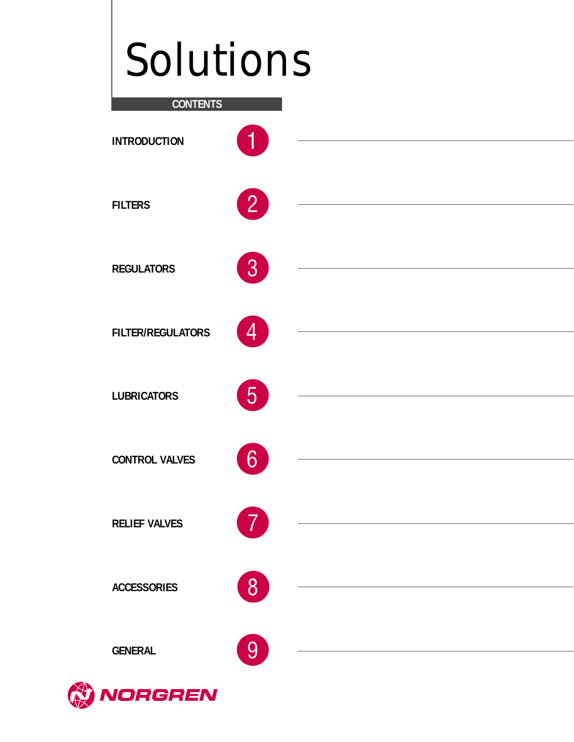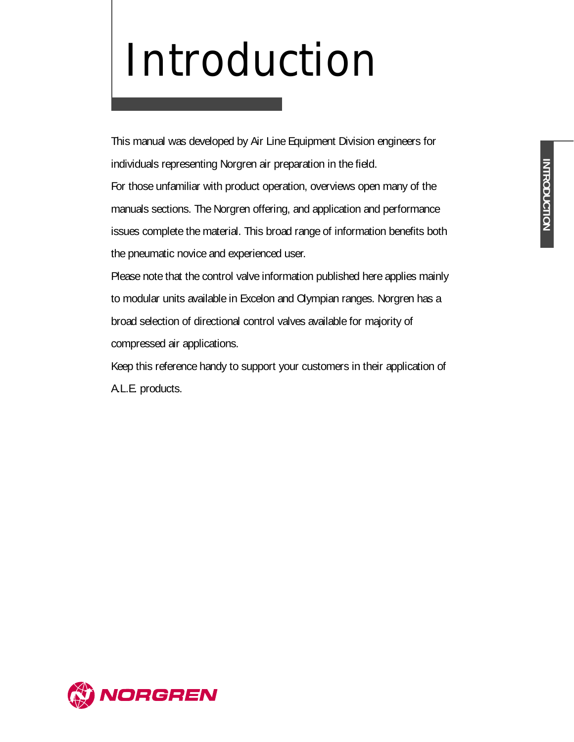## Introduction

This manual was developed by Air Line Equipment Division engineers for individuals representing Norgren air preparation in the field. For those unfamiliar with product operation, overviews open many of the manuals sections. The Norgren offering, and application and performance issues complete the material. This broad range of information benefits both

the pneumatic novice and experienced user.

Please note that the control valve information published here applies mainly to modular units available in Excelon and Olympian ranges. Norgren has a broad selection of directional control valves available for majority of compressed air applications.

Keep this reference handy to support your customers in their application of A.L.E. products.

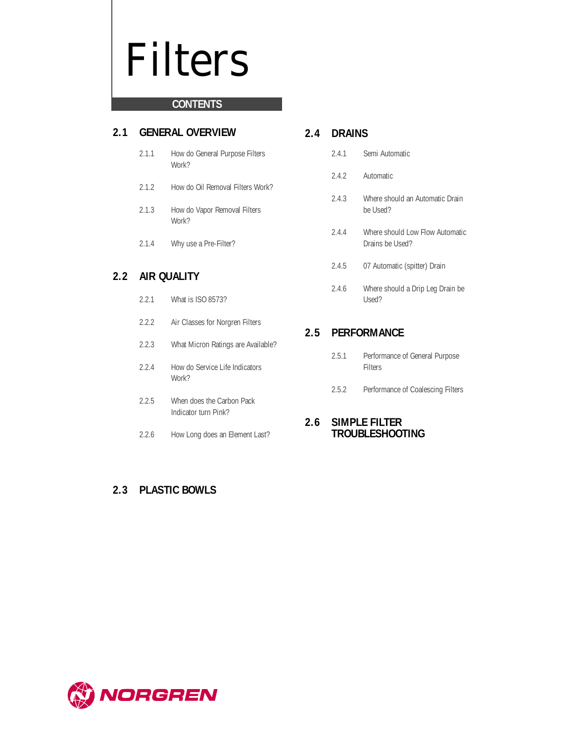## Filters

## **CONTENTS**

## **2.1 GENERAL OVERVIEW**

- 2.1.1 How do General Purpose Filters Work?
- 2.1.2 How do Oil Removal Filters Work?
- 2.1.3 How do Vapor Removal Filters Work?
- 2.1.4 Why use a Pre-Filter?

## **2.2 AIR QUALITY**

- 2.2.1 What is ISO 8573?
- 2.2.2 Air Classes for Norgren Filters
- 2.2.3 What Micron Ratings are Available?
- 2.2.4 How do Service Life Indicators Work?
- 2.2.5 When does the Carbon Pack Indicator turn Pink?
- 2.2.6 How Long does an Element Last?

## **2.3 PLASTIC BOWLS**

## **2.4 DRAINS**

- 2.4.1 Semi Automatic
- 2.4.2 Automatic
- 2.4.3 Where should an Automatic Drain be Used?
- 2.4.4 Where should Low Flow Automatic Drains be Used?
- 2.4.5 07 Automatic (spitter) Drain
- 2.4.6 Where should a Drip Leg Drain be Used?

## **2.5 PERFORMANCE**

- 2.5.1 Performance of General Purpose Filters
- 2.5.2 Performance of Coalescing Filters

## **2.6 SIMPLE FILTER TROUBLESHOOTING**

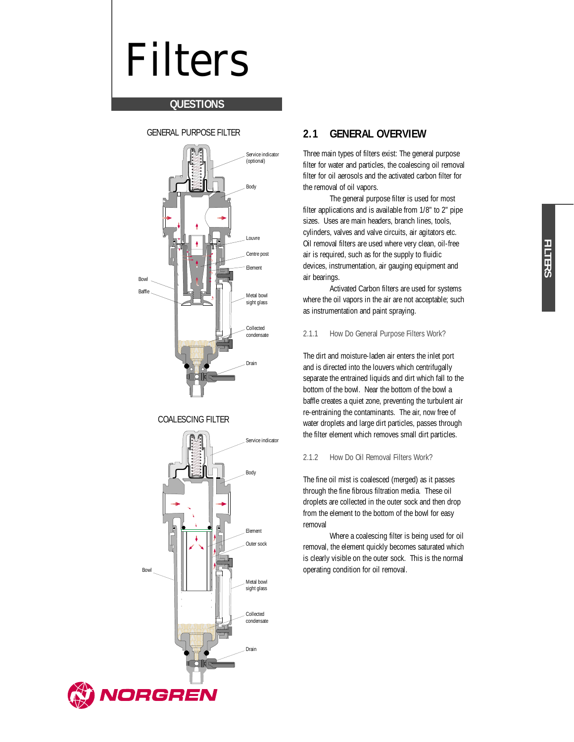## Filters

## **QUESTIONS**



#### COALESCING FILTER



## **2.1 GENERAL OVERVIEW**

Three main types of filters exist: The general purpose filter for water and particles, the coalescing oil removal filter for oil aerosols and the activated carbon filter for the removal of oil vapors.

The general purpose filter is used for most filter applications and is available from 1/8" to 2" pipe sizes. Uses are main headers, branch lines, tools, cylinders, valves and valve circuits, air agitators etc. Oil removal filters are used where very clean, oil-free air is required, such as for the supply to fluidic devices, instrumentation, air gauging equipment and air bearings.

Activated Carbon filters are used for systems where the oil vapors in the air are not acceptable; such as instrumentation and paint spraying.

#### 2.1.1 How Do General Purpose Filters Work?

The dirt and moisture-laden air enters the inlet port and is directed into the louvers which centrifugally separate the entrained liquids and dirt which fall to the bottom of the bowl. Near the bottom of the bowl a baffle creates a quiet zone, preventing the turbulent air re-entraining the contaminants. The air, now free of water droplets and large dirt particles, passes through the filter element which removes small dirt particles.

#### 2.1.2 How Do Oil Removal Filters Work?

The fine oil mist is coalesced (merged) as it passes through the fine fibrous filtration media. These oil droplets are collected in the outer sock and then drop from the element to the bottom of the bowl for easy removal

Where a coalescing filter is being used for oil removal, the element quickly becomes saturated which is clearly visible on the outer sock. This is the normal operating condition for oil removal.

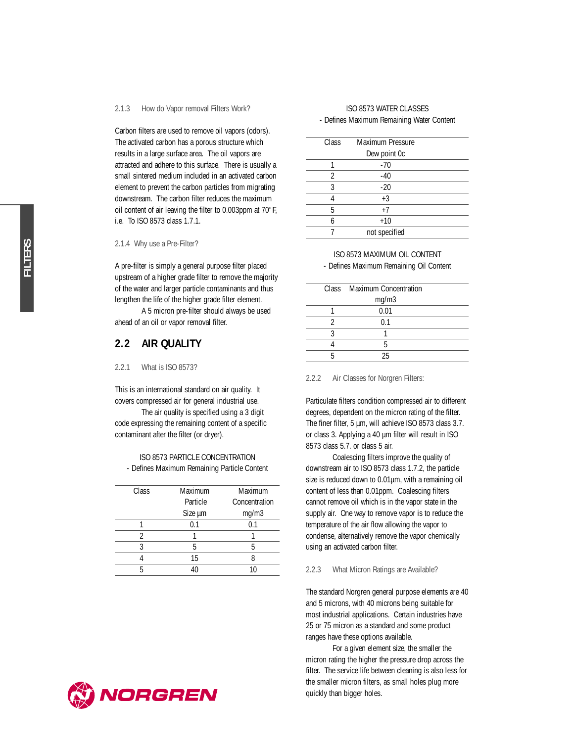#### 2.1.3 How do Vapor removal Filters Work?

Carbon filters are used to remove oil vapors (odors). The activated carbon has a porous structure which results in a large surface area. The oil vapors are attracted and adhere to this surface. There is usually a small sintered medium included in an activated carbon element to prevent the carbon particles from migrating downstream. The carbon filter reduces the maximum oil content of air leaving the filter to 0.003ppm at 70°F, i.e. To ISO 8573 class 1.7.1.

#### 2.1.4 Why use a Pre-Filter?

A pre-filter is simply a general purpose filter placed upstream of a higher grade filter to remove the majority of the water and larger particle contaminants and thus lengthen the life of the higher grade filter element.

A 5 micron pre-filter should always be used ahead of an oil or vapor removal filter.

#### **2.2 AIR QUALITY**

2.2.1 What is ISO 8573?

This is an international standard on air quality. It covers compressed air for general industrial use.

The air quality is specified using a 3 digit code expressing the remaining content of a specific contaminant after the filter (or dryer).

#### ISO 8573 PARTICLE CONCENTRATION - Defines Maximum Remaining Particle Content

| Maximum  | Maximum       |
|----------|---------------|
| Particle | Concentration |
| Size µm  | mg/m3         |
| 0.1      | 0.1           |
|          |               |
| 5        | 5             |
| 15       |               |
| 40       |               |
|          |               |



#### ISO 8573 WATER CLASSES - Defines Maximum Remaining Water Content

| Class | Maximum Pressure |  |
|-------|------------------|--|
|       | Dew point Oc     |  |
|       | $-70$            |  |
| 2     | $-40$            |  |
| 3     | $-20$            |  |
|       | $+3$             |  |
| 5     | $+7$             |  |
| 6     | $+10$            |  |
|       | not specified    |  |
|       |                  |  |

#### ISO 8573 MAXIMUM OIL CONTENT

- Defines Maximum Remaining Oil Content

|  | Class Maximum Concentration |  |
|--|-----------------------------|--|
|  | mg/m3                       |  |
|  | 0.01                        |  |
|  | 0.1                         |  |
|  |                             |  |
|  | ц                           |  |
|  | 25                          |  |
|  |                             |  |

#### 2.2.2 Air Classes for Norgren Filters:

Particulate filters condition compressed air to different degrees, dependent on the micron rating of the filter. The finer filter, 5 µm, will achieve ISO 8573 class 3.7. or class 3. Applying a 40 µm filter will result in ISO 8573 class 5.7. or class 5 air.

Coalescing filters improve the quality of downstream air to ISO 8573 class 1.7.2, the particle size is reduced down to 0.01µm, with a remaining oil content of less than 0.01ppm. Coalescing filters cannot remove oil which is in the vapor state in the supply air. One way to remove vapor is to reduce the temperature of the air flow allowing the vapor to condense, alternatively remove the vapor chemically using an activated carbon filter.

#### 2.2.3 What Micron Ratings are Available?

The standard Norgren general purpose elements are 40 and 5 microns, with 40 microns being suitable for most industrial applications. Certain industries have 25 or 75 micron as a standard and some product ranges have these options available.

For a given element size, the smaller the micron rating the higher the pressure drop across the filter. The service life between cleaning is also less for the smaller micron filters, as small holes plug more quickly than bigger holes.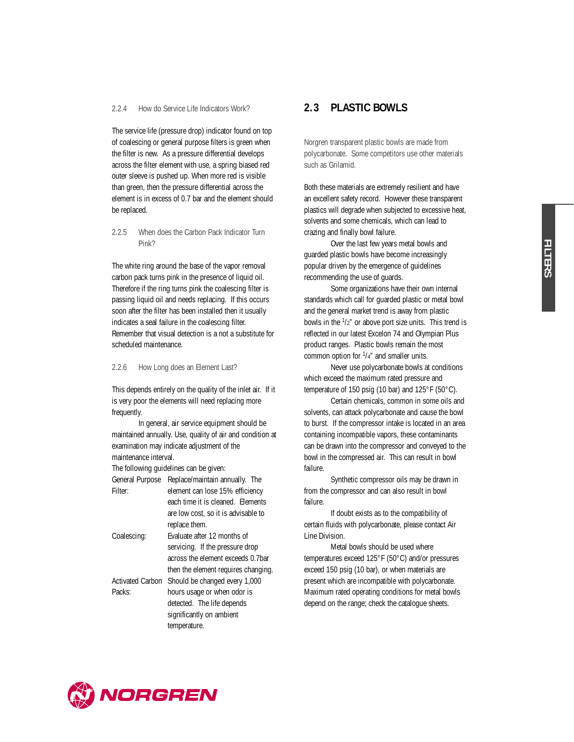#### 2.2.4 How do Service Life Indicators Work?

The service life (pressure drop) indicator found on top of coalescing or general purpose filters is green when the filter is new. As a pressure differential develops across the filter element with use, a spring biased red outer sleeve is pushed up. When more red is visible than green, then the pressure differential across the element is in excess of 0.7 bar and the element should be replaced.

#### 2.2.5 When does the Carbon Pack Indicator Turn Pink?

The white ring around the base of the vapor removal carbon pack turns pink in the presence of liquid oil. Therefore if the ring turns pink the coalescing filter is passing liquid oil and needs replacing. If this occurs soon after the filter has been installed then it usually indicates a seal failure in the coalescing filter. Remember that visual detection is a not a substitute for scheduled maintenance.

#### 2.2.6 How Long does an Element Last?

This depends entirely on the quality of the inlet air. If it is very poor the elements will need replacing more frequently.

In general, air service equipment should be maintained annually. Use, quality of air and condition at examination may indicate adjustment of the maintenance interval.

The following guidelines can be given:

| General Purpose         | Replace/maintain annually. The      |  |  |
|-------------------------|-------------------------------------|--|--|
| Filter:                 | element can lose 15% efficiency     |  |  |
|                         | each time it is cleaned. Elements   |  |  |
|                         | are low cost, so it is advisable to |  |  |
|                         | replace them.                       |  |  |
| Coalescing:             | Evaluate after 12 months of         |  |  |
|                         | servicing. If the pressure drop     |  |  |
|                         | across the element exceeds 0.7bar   |  |  |
|                         | then the element requires changing. |  |  |
| <b>Activated Carbon</b> | Should be changed every 1,000       |  |  |
| Packs:                  | hours usage or when odor is         |  |  |
|                         | detected. The life depends          |  |  |
|                         | significantly on ambient            |  |  |
|                         | temperature.                        |  |  |
|                         |                                     |  |  |

## **2.3 PLASTIC BOWLS**

Norgren transparent plastic bowls are made from polycarbonate. Some competitors use other materials such as Grilamid.

Both these materials are extremely resilient and have an excellent safety record. However these transparent plastics will degrade when subjected to excessive heat, solvents and some chemicals, which can lead to crazing and finally bowl failure.

Over the last few years metal bowls and guarded plastic bowls have become increasingly popular driven by the emergence of guidelines recommending the use of guards.

Some organizations have their own internal standards which call for guarded plastic or metal bowl and the general market trend is away from plastic bowls in the  $1/2$ " or above port size units. This trend is reflected in our latest Excelon 74 and Olympian Plus product ranges. Plastic bowls remain the most common option for  $1/4$ " and smaller units.

Never use polycarbonate bowls at conditions which exceed the maximum rated pressure and temperature of 150 psig (10 bar) and 125°F (50°C).

Certain chemicals, common in some oils and solvents, can attack polycarbonate and cause the bowl to burst. If the compressor intake is located in an area containing incompatible vapors, these contaminants can be drawn into the compressor and conveyed to the bowl in the compressed air. This can result in bowl failure.

Synthetic compressor oils may be drawn in from the compressor and can also result in bowl failure.

If doubt exists as to the compatibility of certain fluids with polycarbonate, please contact Air Line Division.

Metal bowls should be used where temperatures exceed 125°F (50°C) and/or pressures exceed 150 psig (10 bar), or when materials are present which are incompatible with polycarbonate. Maximum rated operating conditions for metal bowls depend on the range; check the catalogue sheets.

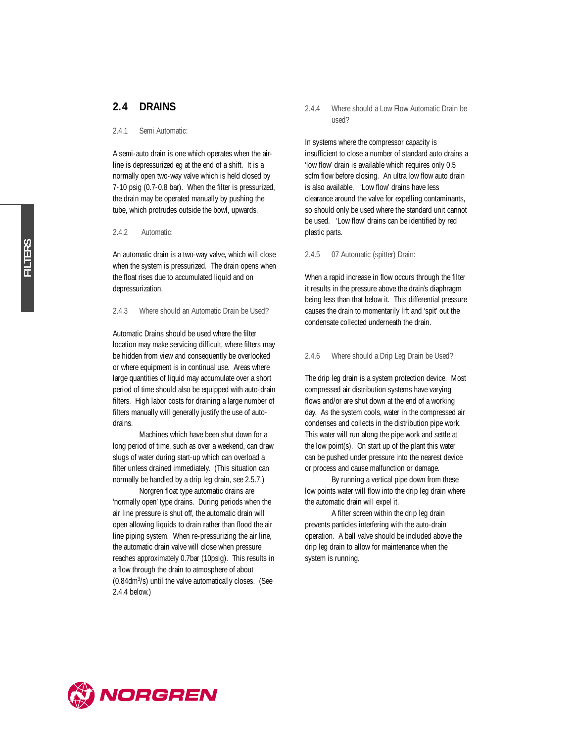### **2.4 DRAINS**

#### 2.4.1 Semi Automatic:

A semi-auto drain is one which operates when the airline is depressurized eg at the end of a shift. It is a normally open two-way valve which is held closed by 7-10 psig (0.7-0.8 bar). When the filter is pressurized, the drain may be operated manually by pushing the tube, which protrudes outside the bowl, upwards.

#### 2.4.2 Automatic:

An automatic drain is a two-way valve, which will close when the system is pressurized. The drain opens when the float rises due to accumulated liquid and on depressurization.

#### 2.4.3 Where should an Automatic Drain be Used?

Automatic Drains should be used where the filter location may make servicing difficult, where filters may be hidden from view and consequently be overlooked or where equipment is in continual use. Areas where large quantities of liquid may accumulate over a short period of time should also be equipped with auto-drain filters. High labor costs for draining a large number of filters manually will generally justify the use of autodrains.

Machines which have been shut down for a long period of time, such as over a weekend, can draw slugs of water during start-up which can overload a filter unless drained immediately. (This situation can normally be handled by a drip leg drain, see 2.5.7.)

Norgren float type automatic drains are 'normally open' type drains. During periods when the air line pressure is shut off, the automatic drain will open allowing liquids to drain rather than flood the air line piping system. When re-pressurizing the air line, the automatic drain valve will close when pressure reaches approximately 0.7bar (10psig). This results in a flow through the drain to atmosphere of about (0.84dm3 /s) until the valve automatically closes. (See 2.4.4 below.)

#### 2.4.4 Where should a Low Flow Automatic Drain be used?

In systems where the compressor capacity is insufficient to close a number of standard auto drains a 'low flow' drain is available which requires only 0.5 scfm flow before closing. An ultra low flow auto drain is also available. 'Low flow' drains have less clearance around the valve for expelling contaminants, so should only be used where the standard unit cannot be used. 'Low flow' drains can be identified by red plastic parts.

#### 2.4.5 07 Automatic (spitter) Drain:

When a rapid increase in flow occurs through the filter it results in the pressure above the drain's diaphragm being less than that below it. This differential pressure causes the drain to momentarily lift and 'spit' out the condensate collected underneath the drain.

#### 2.4.6 Where should a Drip Leg Drain be Used?

The drip leg drain is a system protection device. Most compressed air distribution systems have varying flows and/or are shut down at the end of a working day. As the system cools, water in the compressed air condenses and collects in the distribution pipe work. This water will run along the pipe work and settle at the low point(s). On start up of the plant this water can be pushed under pressure into the nearest device or process and cause malfunction or damage.

By running a vertical pipe down from these low points water will flow into the drip leg drain where the automatic drain will expel it.

A filter screen within the drip leg drain prevents particles interfering with the auto-drain operation. A ball valve should be included above the drip leg drain to allow for maintenance when the system is running.

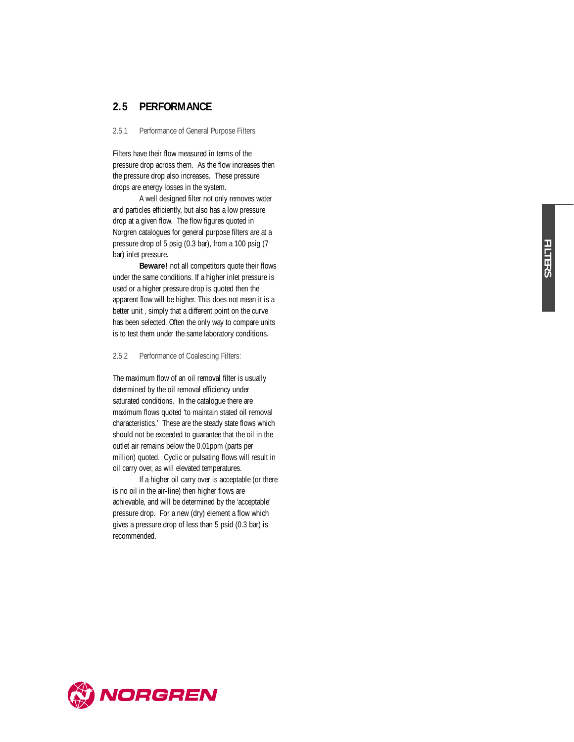## **2.5 PERFORMANCE**

2.5.1 Performance of General Purpose Filters

Filters have their flow measured in terms of the pressure drop across them. As the flow increases then the pressure drop also increases. These pressure drops are energy losses in the system.

A well designed filter not only removes water and particles efficiently, but also has a low pressure drop at a given flow. The flow figures quoted in Norgren catalogues for general purpose filters are at a pressure drop of 5 psig (0.3 bar), from a 100 psig (7 bar) inlet pressure.

**Beware!** not all competitors quote their flows under the same conditions. If a higher inlet pressure is used or a higher pressure drop is quoted then the apparent flow will be higher. This does not mean it is a better unit , simply that a different point on the curve has been selected. Often the only way to compare units is to test them under the same laboratory conditions.

2.5.2 Performance of Coalescing Filters:

The maximum flow of an oil removal filter is usually determined by the oil removal efficiency under saturated conditions. In the catalogue there are maximum flows quoted 'to maintain stated oil removal characteristics.' These are the steady state flows which should not be exceeded to guarantee that the oil in the outlet air remains below the 0.01ppm (parts per million) quoted. Cyclic or pulsating flows will result in oil carry over, as will elevated temperatures.

If a higher oil carry over is acceptable (or there is no oil in the air-line) then higher flows are achievable, and will be determined by the 'acceptable' pressure drop. For a new (dry) element a flow which gives a pressure drop of less than 5 psid (0.3 bar) is recommended.

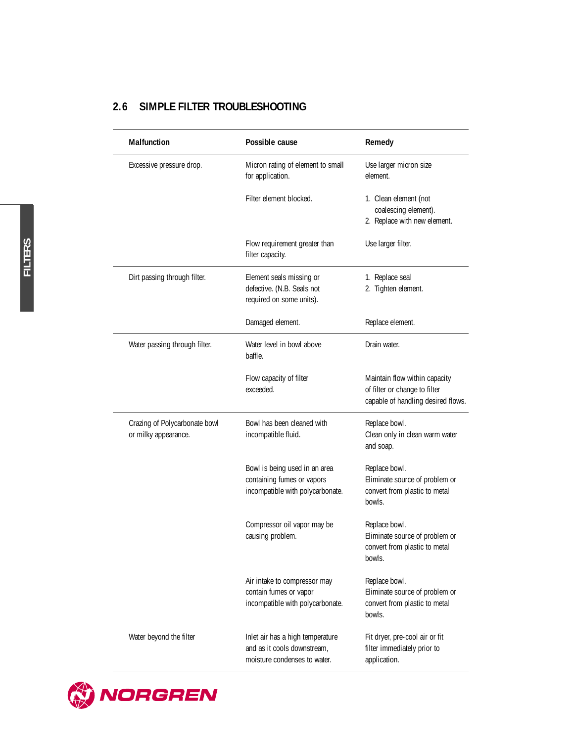## **2.6 SIMPLE FILTER TROUBLESHOOTING**

| Malfunction                                           | Possible cause                                                                                  | Remedy                                                                                               |
|-------------------------------------------------------|-------------------------------------------------------------------------------------------------|------------------------------------------------------------------------------------------------------|
| Excessive pressure drop.                              | Micron rating of element to small<br>for application.                                           | Use larger micron size<br>element.                                                                   |
|                                                       | Filter element blocked.                                                                         | 1. Clean element (not<br>coalescing element).<br>2. Replace with new element.                        |
|                                                       | Flow requirement greater than<br>filter capacity.                                               | Use larger filter.                                                                                   |
| Dirt passing through filter.                          | Element seals missing or<br>defective. (N.B. Seals not<br>required on some units).              | 1. Replace seal<br>2. Tighten element.                                                               |
|                                                       | Damaged element.                                                                                | Replace element.                                                                                     |
| Water passing through filter.                         | Water level in bowl above<br>baffle.                                                            | Drain water.                                                                                         |
|                                                       | Flow capacity of filter<br>exceeded.                                                            | Maintain flow within capacity<br>of filter or change to filter<br>capable of handling desired flows. |
| Crazing of Polycarbonate bowl<br>or milky appearance. | Bowl has been cleaned with<br>incompatible fluid.                                               | Replace bowl.<br>Clean only in clean warm water<br>and soap.                                         |
|                                                       | Bowl is being used in an area<br>containing fumes or vapors<br>incompatible with polycarbonate. | Replace bowl.<br>Eliminate source of problem or<br>convert from plastic to metal<br>bowls.           |
|                                                       | Compressor oil vapor may be<br>causing problem.                                                 | Replace bowl.<br>Eliminate source of problem or<br>convert from plastic to metal<br>bowls.           |
|                                                       | Air intake to compressor may<br>contain fumes or vapor<br>incompatible with polycarbonate.      | Replace bowl.<br>Eliminate source of problem or<br>convert from plastic to metal<br>bowls.           |
| Water beyond the filter                               | Inlet air has a high temperature<br>and as it cools downstream,<br>moisture condenses to water. | Fit dryer, pre-cool air or fit<br>filter immediately prior to<br>application.                        |

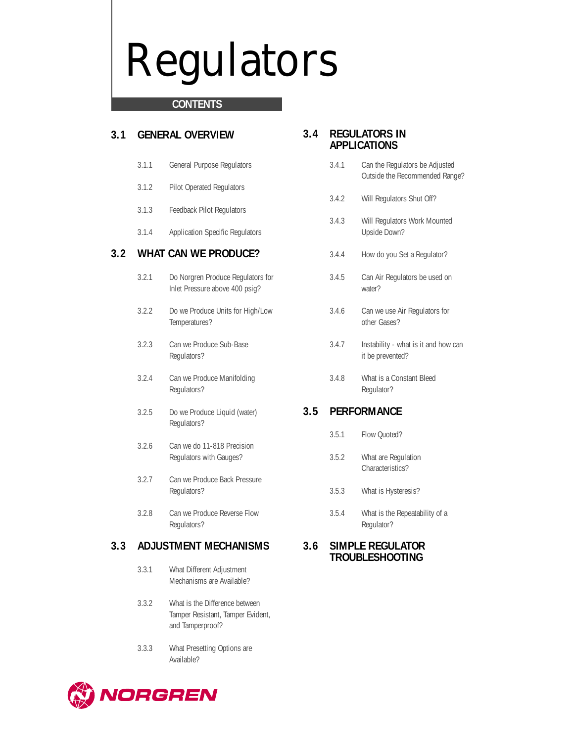# Regulators

## **CONTENTS**

## **3.1 GENERAL OVERVIEW**

- 3.1.1 General Purpose Regulators
- 3.1.2 Pilot Operated Regulators
- 3.1.3 Feedback Pilot Regulators
- 3.1.4 Application Specific Regulators

## **3.2 WHAT CAN WE PRODUCE?**

- 3.2.1 Do Norgren Produce Regulators for Inlet Pressure above 400 psig?
- 3.2.2 Do we Produce Units for High/Low Temperatures?
- 3.2.3 Can we Produce Sub-Base Regulators?
- 3.2.4 Can we Produce Manifolding Regulators?
- 3.2.5 Do we Produce Liquid (water) Regulators?
- 3.2.6 Can we do 11-818 Precision Regulators with Gauges?
- 3.2.7 Can we Produce Back Pressure Regulators?
- 3.2.8 Can we Produce Reverse Flow Regulators?

## **3.3 ADJUSTMENT MECHANISMS**

- 3.3.1 What Different Adjustment Mechanisms are Available?
- 3.3.2 What is the Difference between Tamper Resistant, Tamper Evident, and Tamperproof?
- 3.3.3 What Presetting Options are Available?

## **3.4 REGULATORS IN APPLICATIONS**

- 3.4.1 Can the Regulators be Adjusted Outside the Recommended Range?
- 3.4.2 Will Regulators Shut Off?
- 3.4.3 Will Regulators Work Mounted Upside Down?
- 3.4.4 How do you Set a Regulator?
- 3.4.5 Can Air Regulators be used on water?
- 3.4.6 Can we use Air Regulators for other Gases?
- 3.4.7 Instability what is it and how can it be prevented?
- 3.4.8 What is a Constant Bleed Regulator?

## **3.5 PERFORMANCE**

- 3.5.1 Flow Quoted?
- 3.5.2 What are Regulation Characteristics?
- 3.5.3 What is Hysteresis?
- 3.5.4 What is the Repeatability of a Regulator?

### **3.6 SIMPLE REGULATOR TROUBLESHOOTING**

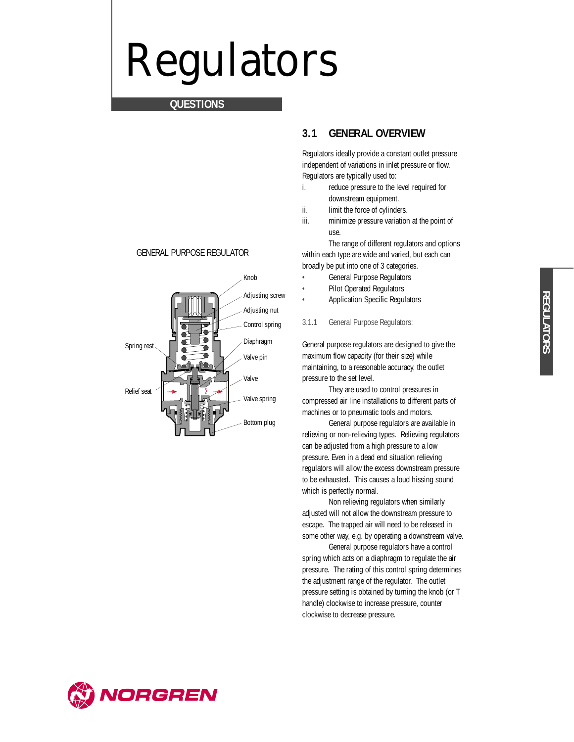## Regulators

## **QUESTIONS**



GENERAL PURPOSE REGULATOR

## **3.1 GENERAL OVERVIEW**

Regulators ideally provide a constant outlet pressure independent of variations in inlet pressure or flow. Regulators are typically used to:

- i. reduce pressure to the level required for downstream equipment.
- ii. limit the force of cylinders.
- iii. minimize pressure variation at the point of use.

The range of different regulators and options within each type are wide and varied, but each can broadly be put into one of 3 categories.

- General Purpose Regulators
- Pilot Operated Regulators
- Application Specific Regulators
- 3.1.1 General Purpose Regulators:

General purpose regulators are designed to give the maximum flow capacity (for their size) while maintaining, to a reasonable accuracy, the outlet pressure to the set level.

They are used to control pressures in compressed air line installations to different parts of machines or to pneumatic tools and motors.

General purpose regulators are available in relieving or non-relieving types. Relieving regulators can be adjusted from a high pressure to a low pressure. Even in a dead end situation relieving regulators will allow the excess downstream pressure to be exhausted. This causes a loud hissing sound which is perfectly normal.

Non relieving regulators when similarly adjusted will not allow the downstream pressure to escape. The trapped air will need to be released in some other way, e.g. by operating a downstream valve.

General purpose regulators have a control spring which acts on a diaphragm to regulate the air pressure. The rating of this control spring determines the adjustment range of the regulator. The outlet pressure setting is obtained by turning the knob (or T handle) clockwise to increase pressure, counter clockwise to decrease pressure.

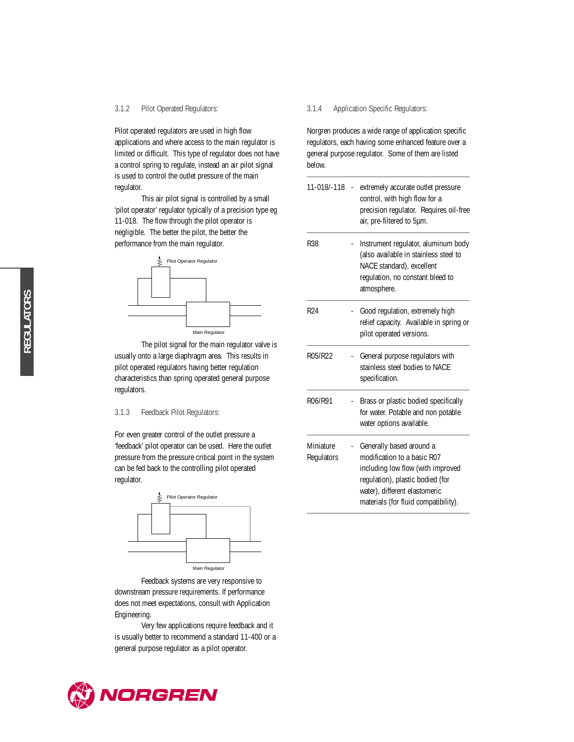#### 3.1.2 Pilot Operated Regulators:

Pilot operated regulators are used in high flow applications and where access to the main regulator is limited or difficult. This type of regulator does not have a control spring to regulate, instead an air pilot signal is used to control the outlet pressure of the main regulator.

This air pilot signal is controlled by a small 'pilot operator' regulator typically of a precision type eg 11-018. The flow through the pilot operator is negligible. The better the pilot, the better the performance from the main regulator.



The pilot signal for the main regulator valve is usually onto a large diaphragm area. This results in pilot operated regulators having better regulation characteristics than spring operated general purpose regulators.

#### 3.1.3 Feedback Pilot Regulators:

For even greater control of the outlet pressure a 'feedback' pilot operator can be used. Here the outlet pressure from the pressure critical point in the system can be fed back to the controlling pilot operated regulator.



Feedback systems are very responsive to downstream pressure requirements. If performance does not meet expectations, consult with Application Engineering.

Very few applications require feedback and it is usually better to recommend a standard 11-400 or a general purpose regulator as a pilot operator.

#### 3.1.4 Application Specific Regulators:

Norgren produces a wide range of application specific regulators, each having some enhanced feature over a general purpose regulator. Some of them are listed below.

| 11-018/-118 -           | extremely accurate outlet pressure<br>control, with high flow for a<br>precision regulator. Requires oil-free<br>air, pre-filtered to 5µm.                                                                |
|-------------------------|-----------------------------------------------------------------------------------------------------------------------------------------------------------------------------------------------------------|
| R38                     | Instrument regulator, aluminum body<br>(also available in stainless steel to<br>NACE standard), excellent<br>regulation, no constant bleed to<br>atmosphere.                                              |
| R <sub>24</sub>         | Good regulation, extremely high<br>relief capacity. Available in spring or<br>pilot operated versions.                                                                                                    |
| R05/R22                 | General purpose regulators with<br>stainless steel bodies to NACE<br>specification.                                                                                                                       |
| R06/R91                 | Brass or plastic bodied specifically<br>for water. Potable and non potable<br>water options available.                                                                                                    |
| Miniature<br>Regulators | Generally based around a<br>modification to a basic R07<br>including low flow (with improved<br>regulation), plastic bodied (for<br>water), different elastomeric<br>materials (for fluid compatibility). |



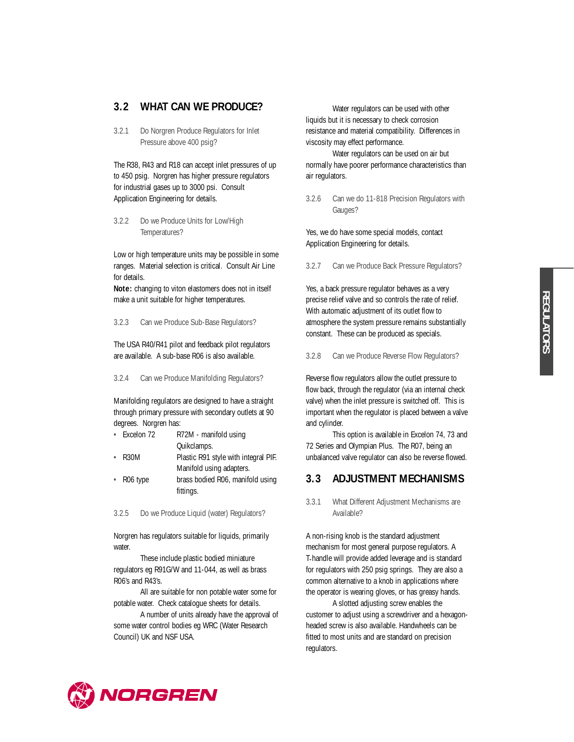## **3.2 WHAT CAN WE PRODUCE?**

3.2.1 Do Norgren Produce Regulators for Inlet Pressure above 400 psig?

The R38, R43 and R18 can accept inlet pressures of up to 450 psig. Norgren has higher pressure regulators for industrial gases up to 3000 psi. Consult Application Engineering for details.

3.2.2 Do we Produce Units for Low/High Temperatures?

Low or high temperature units may be possible in some ranges. Material selection is critical. Consult Air Line for details.

**Note:** changing to viton elastomers does not in itself make a unit suitable for higher temperatures.

3.2.3 Can we Produce Sub-Base Regulators?

The USA R40/R41 pilot and feedback pilot regulators are available. A sub-base R06 is also available.

3.2.4 Can we Produce Manifolding Regulators?

Manifolding regulators are designed to have a straight through primary pressure with secondary outlets at 90 degrees. Norgren has:

- Excelon 72 R72M manifold using Quikclamps.
- R30M Plastic R91 style with integral PIF. Manifold using adapters.
- R06 type brass bodied R06, manifold using fittings.
- 3.2.5 Do we Produce Liquid (water) Regulators?

Norgren has regulators suitable for liquids, primarily water.

These include plastic bodied miniature regulators eg R91G/W and 11-044, as well as brass R06's and R43's.

All are suitable for non potable water some for potable water. Check catalogue sheets for details.

A number of units already have the approval of some water control bodies eg WRC (Water Research Council) UK and NSF USA.

Water regulators can be used with other liquids but it is necessary to check corrosion resistance and material compatibility. Differences in viscosity may effect performance.

Water regulators can be used on air but normally have poorer performance characteristics than air regulators.

#### 3.2.6 Can we do 11-818 Precision Regulators with Gauges?

Yes, we do have some special models, contact Application Engineering for details.

3.2.7 Can we Produce Back Pressure Regulators?

Yes, a back pressure regulator behaves as a very precise relief valve and so controls the rate of relief. With automatic adjustment of its outlet flow to atmosphere the system pressure remains substantially constant. These can be produced as specials.

3.2.8 Can we Produce Reverse Flow Regulators?

Reverse flow regulators allow the outlet pressure to flow back, through the regulator (via an internal check valve) when the inlet pressure is switched off. This is important when the regulator is placed between a valve and cylinder.

This option is available in Excelon 74, 73 and 72 Series and Olympian Plus. The R07, being an unbalanced valve regulator can also be reverse flowed.

## **3.3 ADJUSTMENT MECHANISMS**

3.3.1 What Different Adjustment Mechanisms are Available?

A non-rising knob is the standard adjustment mechanism for most general purpose regulators. A T-handle will provide added leverage and is standard for regulators with 250 psig springs. They are also a common alternative to a knob in applications where the operator is wearing gloves, or has greasy hands.

A slotted adjusting screw enables the customer to adjust using a screwdriver and a hexagonheaded screw is also available. Handwheels can be fitted to most units and are standard on precision regulators.

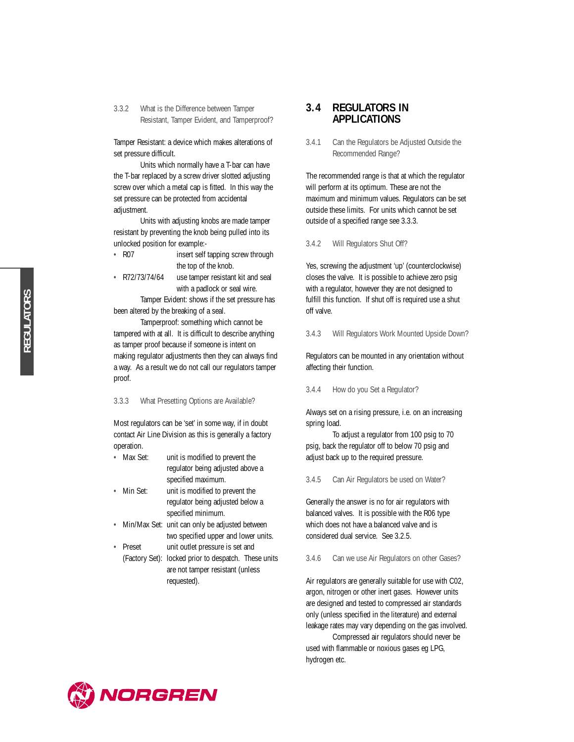3.3.2 What is the Difference between Tamper Resistant, Tamper Evident, and Tamperproof?

Tamper Resistant: a device which makes alterations of set pressure difficult.

Units which normally have a T-bar can have the T-bar replaced by a screw driver slotted adjusting screw over which a metal cap is fitted. In this way the set pressure can be protected from accidental adjustment.

Units with adjusting knobs are made tamper resistant by preventing the knob being pulled into its unlocked position for example:-

- R07 insert self tapping screw through the top of the knob.
- R72/73/74/64 use tamper resistant kit and seal with a padlock or seal wire.

Tamper Evident: shows if the set pressure has been altered by the breaking of a seal.

Tamperproof: something which cannot be tampered with at all. It is difficult to describe anything as tamper proof because if someone is intent on making regulator adjustments then they can always find a way. As a result we do not call our regulators tamper proof.

3.3.3 What Presetting Options are Available?

Most regulators can be 'set' in some way, if in doubt contact Air Line Division as this is generally a factory operation.

- Max Set: unit is modified to prevent the regulator being adjusted above a specified maximum.
- Min Set: unit is modified to prevent the regulator being adjusted below a specified minimum.
- Min/Max Set: unit can only be adjusted between two specified upper and lower units.
- Preset unit outlet pressure is set and
	- (Factory Set): locked prior to despatch. These units are not tamper resistant (unless requested).

### **3.4 REGULATORS IN APPLICATIONS**

3.4.1 Can the Regulators be Adjusted Outside the Recommended Range?

The recommended range is that at which the regulator will perform at its optimum. These are not the maximum and minimum values. Regulators can be set outside these limits. For units which cannot be set outside of a specified range see 3.3.3.

3.4.2 Will Regulators Shut Off?

Yes, screwing the adjustment 'up' (counterclockwise) closes the valve. It is possible to achieve zero psig with a regulator, however they are not designed to fulfill this function. If shut off is required use a shut off valve.

3.4.3 Will Regulators Work Mounted Upside Down?

Regulators can be mounted in any orientation without affecting their function.

3.4.4 How do you Set a Regulator?

Always set on a rising pressure, i.e. on an increasing spring load.

To adjust a regulator from 100 psig to 70 psig, back the regulator off to below 70 psig and adjust back up to the required pressure.

3.4.5 Can Air Regulators be used on Water?

Generally the answer is no for air regulators with balanced valves. It is possible with the R06 type which does not have a balanced valve and is considered dual service. See 3.2.5.

3.4.6 Can we use Air Regulators on other Gases?

Air regulators are generally suitable for use with C02, argon, nitrogen or other inert gases. However units are designed and tested to compressed air standards only (unless specified in the literature) and external leakage rates may vary depending on the gas involved.

Compressed air regulators should never be used with flammable or noxious gases eg LPG, hydrogen etc.

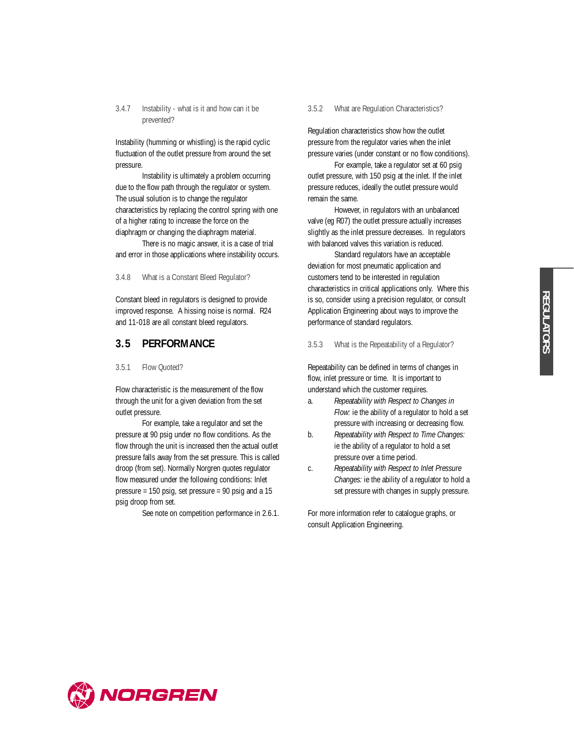#### 3.4.7 Instability - what is it and how can it be prevented?

Instability (humming or whistling) is the rapid cyclic fluctuation of the outlet pressure from around the set pressure.

Instability is ultimately a problem occurring due to the flow path through the regulator or system. The usual solution is to change the regulator characteristics by replacing the control spring with one of a higher rating to increase the force on the diaphragm or changing the diaphragm material.

There is no magic answer, it is a case of trial and error in those applications where instability occurs.

3.4.8 What is a Constant Bleed Regulator?

Constant bleed in regulators is designed to provide improved response. A hissing noise is normal. R24 and 11-018 are all constant bleed regulators.

#### **3.5 PERFORMANCE**

3.5.1 Flow Quoted?

Flow characteristic is the measurement of the flow through the unit for a given deviation from the set outlet pressure.

For example, take a regulator and set the pressure at 90 psig under no flow conditions. As the flow through the unit is increased then the actual outlet pressure falls away from the set pressure. This is called droop (from set). Normally Norgren quotes regulator flow measured under the following conditions: Inlet pressure = 150 psig, set pressure = 90 psig and a 15 psig droop from set.

See note on competition performance in 2.6.1.

#### 3.5.2 What are Regulation Characteristics?

Regulation characteristics show how the outlet pressure from the regulator varies when the inlet pressure varies (under constant or no flow conditions).

For example, take a regulator set at 60 psig outlet pressure, with 150 psig at the inlet. If the inlet pressure reduces, ideally the outlet pressure would remain the same.

However, in regulators with an unbalanced valve (eg R07) the outlet pressure actually increases slightly as the inlet pressure decreases. In regulators with balanced valves this variation is reduced.

Standard regulators have an acceptable deviation for most pneumatic application and customers tend to be interested in regulation characteristics in critical applications only. Where this is so, consider using a precision regulator, or consult Application Engineering about ways to improve the performance of standard regulators.

3.5.3 What is the Repeatability of a Regulator?

Repeatability can be defined in terms of changes in flow, inlet pressure or time. It is important to understand which the customer requires.

- a. *Repeatability with Respect to Changes in Flow:* ie the ability of a regulator to hold a set pressure with increasing or decreasing flow.
- b. *Repeatability with Respect to Time Changes:* ie the ability of a regulator to hold a set pressure over a time period.
- c. *Repeatability with Respect to Inlet Pressure Changes:* ie the ability of a regulator to hold a set pressure with changes in supply pressure.

For more information refer to catalogue graphs, or consult Application Engineering.

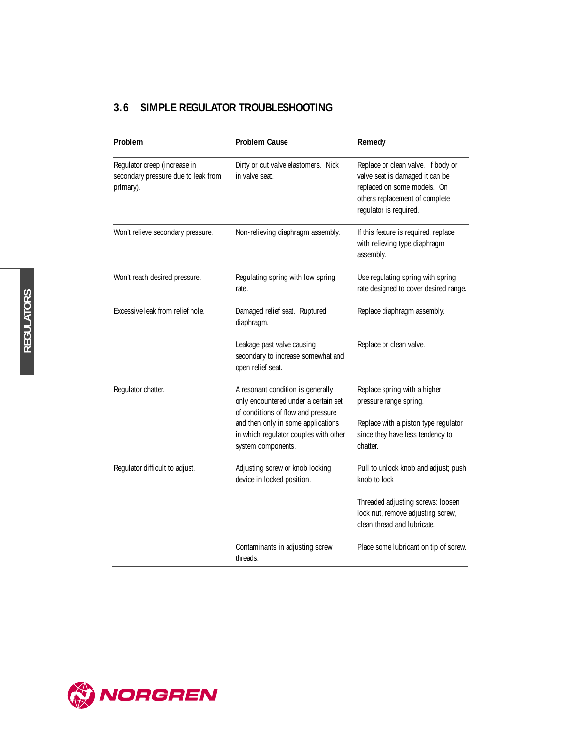## **3.6 SIMPLE REGULATOR TROUBLESHOOTING**

| Problem                                                                          | <b>Problem Cause</b>                                                                                            | Remedy                                                                                                                                                           |
|----------------------------------------------------------------------------------|-----------------------------------------------------------------------------------------------------------------|------------------------------------------------------------------------------------------------------------------------------------------------------------------|
| Regulator creep (increase in<br>secondary pressure due to leak from<br>primary). | Dirty or cut valve elastomers. Nick<br>in valve seat.                                                           | Replace or clean valve. If body or<br>valve seat is damaged it can be<br>replaced on some models. On<br>others replacement of complete<br>regulator is required. |
| Won't relieve secondary pressure.                                                | Non-relieving diaphragm assembly.                                                                               | If this feature is required, replace<br>with relieving type diaphragm<br>assembly.                                                                               |
| Won't reach desired pressure.                                                    | Regulating spring with low spring<br>rate.                                                                      | Use regulating spring with spring<br>rate designed to cover desired range.                                                                                       |
| Excessive leak from relief hole.                                                 | Damaged relief seat. Ruptured<br>diaphragm.                                                                     | Replace diaphragm assembly.                                                                                                                                      |
|                                                                                  | Leakage past valve causing<br>secondary to increase somewhat and<br>open relief seat.                           | Replace or clean valve.                                                                                                                                          |
| Regulator chatter.                                                               | A resonant condition is generally<br>only encountered under a certain set<br>of conditions of flow and pressure | Replace spring with a higher<br>pressure range spring.                                                                                                           |
|                                                                                  | and then only in some applications<br>in which regulator couples with other<br>system components.               | Replace with a piston type regulator<br>since they have less tendency to<br>chatter.                                                                             |
| Regulator difficult to adjust.                                                   | Adjusting screw or knob locking<br>device in locked position.                                                   | Pull to unlock knob and adjust; push<br>knob to lock                                                                                                             |
|                                                                                  |                                                                                                                 | Threaded adjusting screws: loosen<br>lock nut, remove adjusting screw,<br>clean thread and lubricate.                                                            |
|                                                                                  | Contaminants in adjusting screw<br>threads.                                                                     | Place some lubricant on tip of screw.                                                                                                                            |



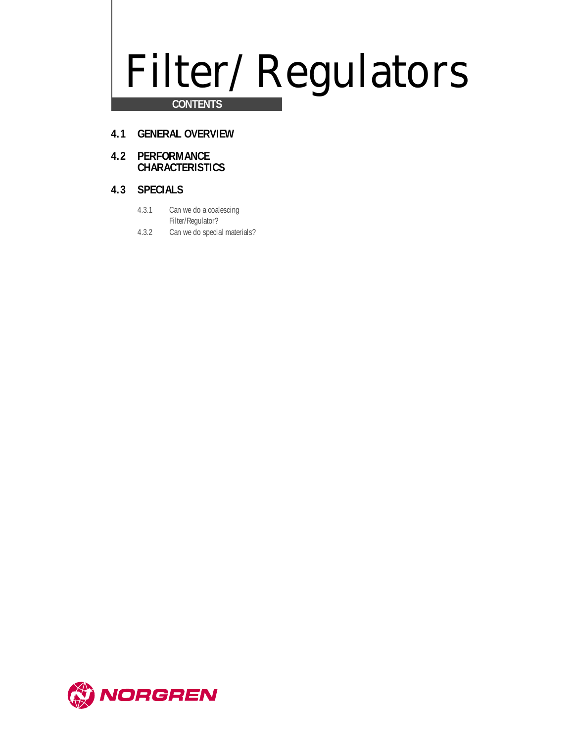# Filter/Regulators

## **CONTENTS**

- **4.1 GENERAL OVERVIEW**
- **4.2 PERFORMANCE CHARACTERISTICS**

## **4.3 SPECIALS**

- 4.3.1 Can we do a coalescing Filter/Regulator?
- 4.3.2 Can we do special materials?

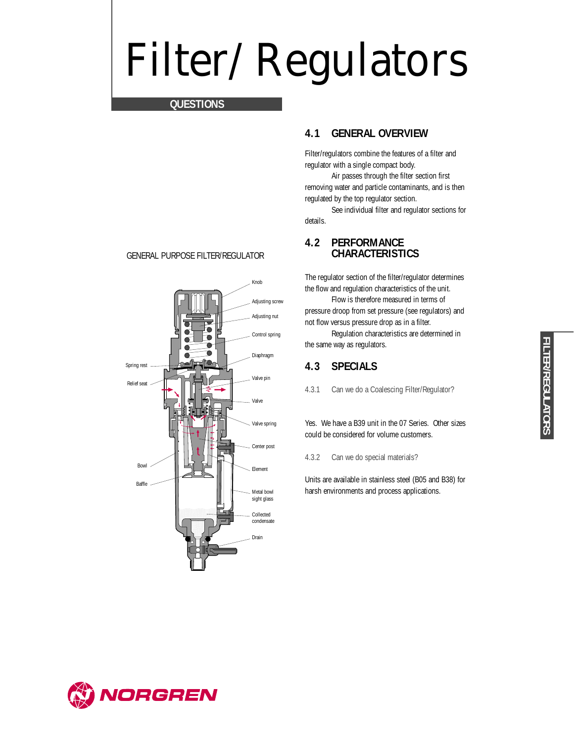## Filter/Regulators

## **QUESTIONS**

#### GENERAL PURPOSE FILTER/REGULATOR



## **4.1 GENERAL OVERVIEW**

Filter/regulators combine the features of a filter and regulator with a single compact body.

Air passes through the filter section first removing water and particle contaminants, and is then regulated by the top regulator section.

See individual filter and regulator sections for details.

## **4.2 PERFORMANCE CHARACTERISTICS**

The regulator section of the filter/regulator determines the flow and regulation characteristics of the unit.

Flow is therefore measured in terms of pressure droop from set pressure (see regulators) and not flow versus pressure drop as in a filter.

Regulation characteristics are determined in the same way as regulators.

## **4.3 SPECIALS**

4.3.1 Can we do a Coalescing Filter/Regulator?

Yes. We have a B39 unit in the 07 Series. Other sizes could be considered for volume customers.

4.3.2 Can we do special materials?

Units are available in stainless steel (B05 and B38) for harsh environments and process applications.

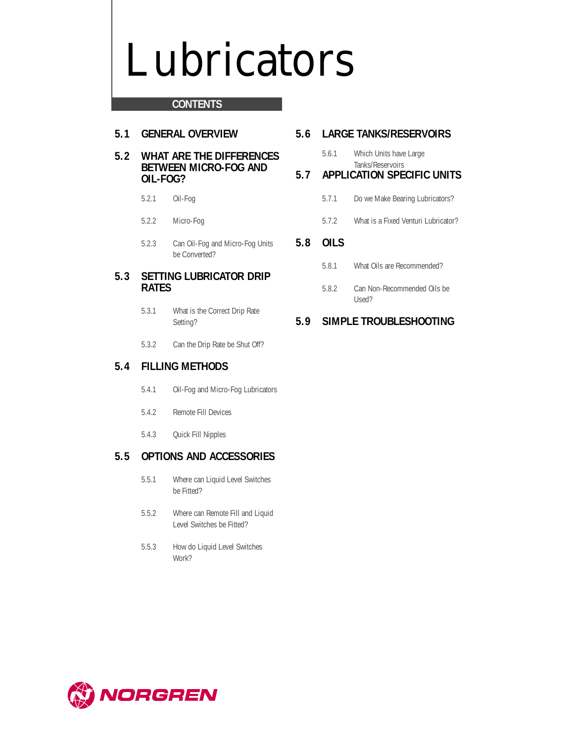## Lubricators

## **CONTENTS**

## **5.1 GENERAL OVERVIEW**

### **5.2 WHAT ARE THE DIFFERENCES BETWEEN MICRO-FOG AND OIL-FOG?**

- 5.2.1 Oil-Fog
- 5.2.2 Micro-Fog
- 5.2.3 Can Oil-Fog and Micro-Fog Units be Converted?

## **5.3 SETTING LUBRICATOR DRIP RATES**

- 5.3.1 What is the Correct Drip Rate Setting?
- 5.3.2 Can the Drip Rate be Shut Off?

## **5.4 FILLING METHODS**

- 5.4.1 Oil-Fog and Micro-Fog Lubricators
- 5.4.2 Remote Fill Devices
- 5.4.3 Quick Fill Nipples

## **5.5 OPTIONS AND ACCESSORIES**

- 5.5.1 Where can Liquid Level Switches be Fitted?
- 5.5.2 Where can Remote Fill and Liquid Level Switches be Fitted?
- 5.5.3 How do Liquid Level Switches Work?

## **5.6 LARGE TANKS/RESERVOIRS**

5.6.1 Which Units have Large Tanks/Reservoirs

## **5.7 APPLICATION SPECIFIC UNITS**

- 5.7.1 Do we Make Bearing Lubricators?
- 5.7.2 What is a Fixed Venturi Lubricator?

## **5.8 OILS**

- 5.8.1 What Oils are Recommended?
- 5.8.2 Can Non-Recommended Oils be Used?

## **5.9 SIMPLE TROUBLESHOOTING**

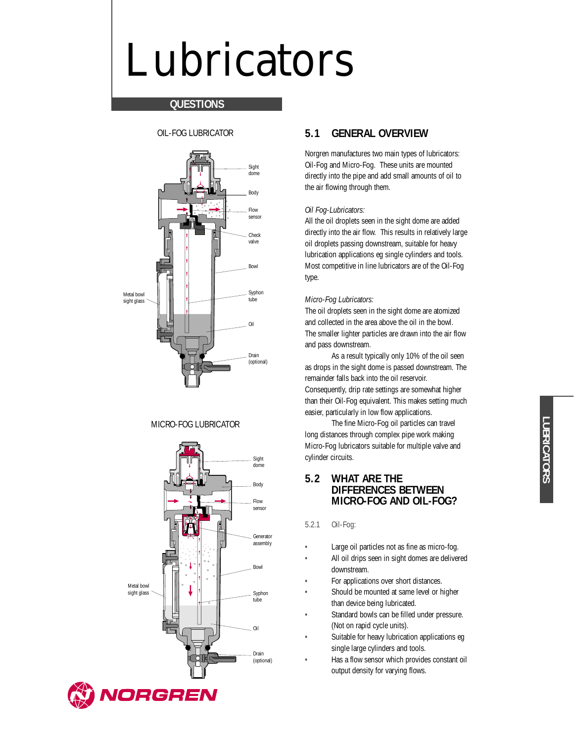## Lubricators

## **QUESTIONS**

OIL-FOG LUBRICATOR



### MICRO-FOG LUBRICATOR



## **5.1 GENERAL OVERVIEW**

Norgren manufactures two main types of lubricators: Oil-Fog and Micro-Fog. These units are mounted directly into the pipe and add small amounts of oil to the air flowing through them.

#### *Oil Fog-Lubricators:*

All the oil droplets seen in the sight dome are added directly into the air flow. This results in relatively large oil droplets passing downstream, suitable for heavy lubrication applications eg single cylinders and tools. Most competitive in line lubricators are of the Oil-Fog type.

#### *Micro-Fog Lubricators:*

The oil droplets seen in the sight dome are atomized and collected in the area above the oil in the bowl. The smaller lighter particles are drawn into the air flow and pass downstream.

As a result typically only 10% of the oil seen as drops in the sight dome is passed downstream. The remainder falls back into the oil reservoir. Consequently, drip rate settings are somewhat higher than their Oil-Fog equivalent. This makes setting much easier, particularly in low flow applications.

The fine Micro-Fog oil particles can travel long distances through complex pipe work making Micro-Fog lubricators suitable for multiple valve and cylinder circuits.

### **5.2 WHAT ARE THE DIFFERENCES BETWEEN MICRO-FOG AND OIL-FOG?**

#### 5.2.1 Oil-Fog:

- Large oil particles not as fine as micro-fog.
- All oil drips seen in sight domes are delivered downstream.
- For applications over short distances.
- Should be mounted at same level or higher than device being lubricated.
- Standard bowls can be filled under pressure. (Not on rapid cycle units).
- Suitable for heavy lubrication applications eg single large cylinders and tools.
- Has a flow sensor which provides constant oil output density for varying flows.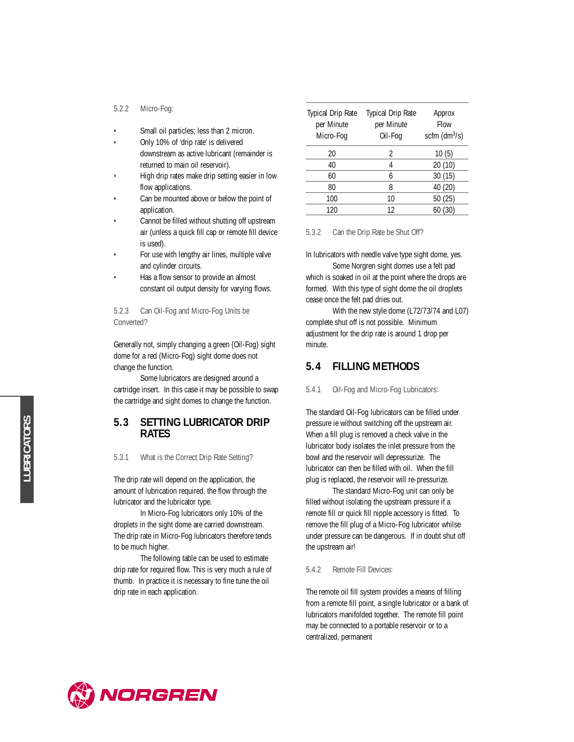#### 5.2.2 Micro-Fog:

- Small oil particles; less than 2 micron.
- Only 10% of 'drip rate' is delivered downstream as active lubricant (remainder is returned to main oil reservoir).
- High drip rates make drip setting easier in low flow applications.
- Can be mounted above or below the point of application.
- Cannot be filled without shutting off upstream air (unless a quick fill cap or remote fill device is used).
- For use with lengthy air lines, multiple valve and cylinder circuits.
- Has a flow sensor to provide an almost constant oil output density for varying flows.

5.2.3 Can Oil-Fog and Micro-Fog Units be Converted?

Generally not, simply changing a green (Oil-Fog) sight dome for a red (Micro-Fog) sight dome does not change the function.

Some lubricators are designed around a cartridge insert. In this case it may be possible to swap the cartridge and sight domes to change the function.

## **5.3 SETTING LUBRICATOR DRIP RATES**

5.3.1 What is the Correct Drip Rate Setting?

The drip rate will depend on the application, the amount of lubrication required, the flow through the lubricator and the lubricator type.

In Micro-Fog lubricators only 10% of the droplets in the sight dome are carried downstream. The drip rate in Micro-Fog lubricators therefore tends to be much higher.

The following table can be used to estimate drip rate for required flow. This is very much a rule of thumb. In practice it is necessary to fine tune the oil drip rate in each application.

| <b>Typical Drip Rate</b><br>per Minute<br>Micro-Fog | <b>Typical Drip Rate</b><br>per Minute<br>Oil-Fog | Approx<br><b>Flow</b><br>scfm $(dm^3/s)$ |
|-----------------------------------------------------|---------------------------------------------------|------------------------------------------|
| 20                                                  | 2                                                 | 10(5)                                    |
| 40                                                  | 4                                                 | 20 (10)                                  |
| 60                                                  | 6                                                 | 30(15)                                   |
| 80                                                  | 8                                                 | 40 (20)                                  |
| 100                                                 | 10                                                | 50(25)                                   |
| 120                                                 | 12                                                | 60 (30)                                  |

#### 5.3.2 Can the Drip Rate be Shut Off?

In lubricators with needle valve type sight dome, yes.

Some Norgren sight domes use a felt pad which is soaked in oil at the point where the drops are formed. With this type of sight dome the oil droplets cease once the felt pad dries out.

With the new style dome (L72/73/74 and L07) complete shut off is not possible. Minimum adjustment for the drip rate is around 1 drop per minute.

## **5.4 FILLING METHODS**

#### 5.4.1 Oil-Fog and Micro-Fog Lubricators:

The standard Oil-Fog lubricators can be filled under pressure ie without switching off the upstream air. When a fill plug is removed a check valve in the lubricator body isolates the inlet pressure from the bowl and the reservoir will depressurize. The lubricator can then be filled with oil. When the fill plug is replaced, the reservoir will re-pressurize.

The standard Micro-Fog unit can only be filled without isolating the upstream pressure if a remote fill or quick fill nipple accessory is fitted. To remove the fill plug of a Micro-Fog lubricator whilse under pressure can be dangerous. If in doubt shut off the upstream air!

#### 5.4.2 Remote Fill Devices:

The remote oil fill system provides a means of filling from a remote fill point, a single lubricator or a bank of lubricators manifolded together. The remote fill point may be connected to a portable reservoir or to a centralized, permanent

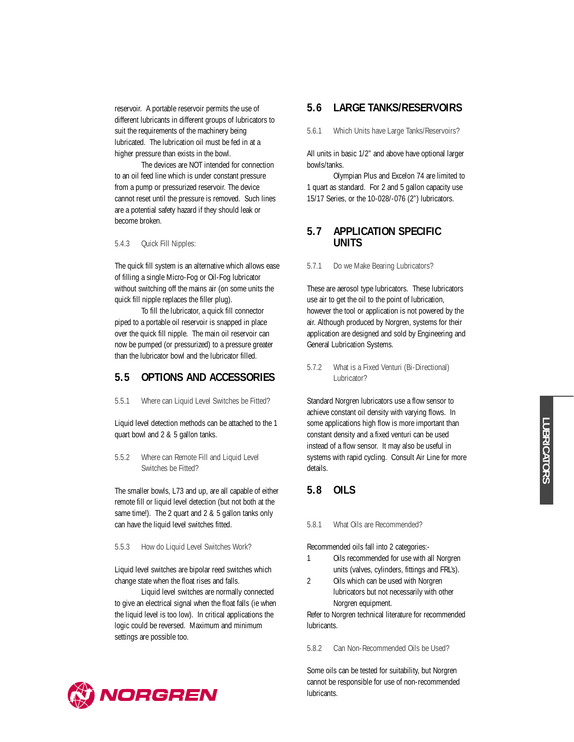reservoir. A portable reservoir permits the use of different lubricants in different groups of lubricators to suit the requirements of the machinery being lubricated. The lubrication oil must be fed in at a higher pressure than exists in the bowl.

The devices are NOT intended for connection to an oil feed line which is under constant pressure from a pump or pressurized reservoir. The device cannot reset until the pressure is removed. Such lines are a potential safety hazard if they should leak or become broken.

5.4.3 Quick Fill Nipples:

The quick fill system is an alternative which allows ease of filling a single Micro-Fog or Oil-Fog lubricator without switching off the mains air (on some units the quick fill nipple replaces the filler plug).

To fill the lubricator, a quick fill connector piped to a portable oil reservoir is snapped in place over the quick fill nipple. The main oil reservoir can now be pumped (or pressurized) to a pressure greater than the lubricator bowl and the lubricator filled.

## **5.5 OPTIONS AND ACCESSORIES**

5.5.1 Where can Liquid Level Switches be Fitted?

Liquid level detection methods can be attached to the 1 quart bowl and 2 & 5 gallon tanks.

5.5.2 Where can Remote Fill and Liquid Level Switches be Fitted?

The smaller bowls, L73 and up, are all capable of either remote fill or liquid level detection (but not both at the same time!). The 2 quart and 2 & 5 gallon tanks only can have the liquid level switches fitted.

5.5.3 How do Liquid Level Switches Work?

Liquid level switches are bipolar reed switches which change state when the float rises and falls.

Liquid level switches are normally connected to give an electrical signal when the float falls (ie when the liquid level is too low). In critical applications the logic could be reversed. Maximum and minimum settings are possible too.

## **5.6 LARGE TANKS/RESERVOIRS**

5.6.1 Which Units have Large Tanks/Reservoirs?

All units in basic 1/2" and above have optional larger bowls/tanks.

Olympian Plus and Excelon 74 are limited to 1 quart as standard. For 2 and 5 gallon capacity use 15/17 Series, or the 10-028/-076 (2") lubricators.

## **5.7 APPLICATION SPECIFIC UNITS**

#### 5.7.1 Do we Make Bearing Lubricators?

These are aerosol type lubricators. These lubricators use air to get the oil to the point of lubrication, however the tool or application is not powered by the air. Although produced by Norgren, systems for their application are designed and sold by Engineering and General Lubrication Systems.

#### 5.7.2 What is a Fixed Venturi (Bi-Directional) Lubricator?

Standard Norgren lubricators use a flow sensor to achieve constant oil density with varying flows. In some applications high flow is more important than constant density and a fixed venturi can be used instead of a flow sensor. It may also be useful in systems with rapid cycling. Consult Air Line for more details.

## **5.8 OILS**

#### 5.8.1 What Oils are Recommended?

Recommended oils fall into 2 categories:-

- 1 Oils recommended for use with all Norgren units (valves, cylinders, fittings and FRL's).
- 2 Oils which can be used with Norgren lubricators but not necessarily with other Norgren equipment.

Refer to Norgren technical literature for recommended lubricants.

5.8.2 Can Non-Recommended Oils be Used?

Some oils can be tested for suitability, but Norgren cannot be responsible for use of non-recommended lubricants.

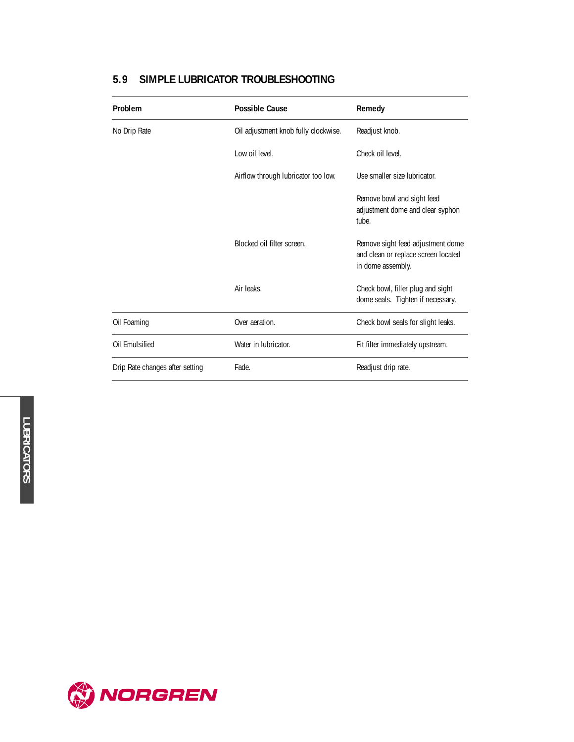| Problem                         | <b>Possible Cause</b>                | Remedy                                                                                        |
|---------------------------------|--------------------------------------|-----------------------------------------------------------------------------------------------|
| No Drip Rate                    | Oil adjustment knob fully clockwise. | Readjust knob.                                                                                |
|                                 | Low oil level.                       | Check oil level.                                                                              |
|                                 | Airflow through lubricator too low.  | Use smaller size lubricator.                                                                  |
|                                 |                                      | Remove bowl and sight feed<br>adjustment dome and clear syphon<br>tube.                       |
|                                 | Blocked oil filter screen.           | Remove sight feed adjustment dome<br>and clean or replace screen located<br>in dome assembly. |
|                                 | Air leaks.                           | Check bowl, filler plug and sight<br>dome seals. Tighten if necessary.                        |
| Oil Foaming                     | Over aeration.                       | Check bowl seals for slight leaks.                                                            |
| Oil Emulsified                  | Water in lubricator.                 | Fit filter immediately upstream.                                                              |
| Drip Rate changes after setting | Fade.                                | Readjust drip rate.                                                                           |

## **5.9 SIMPLE LUBRICATOR TROUBLESHOOTING**

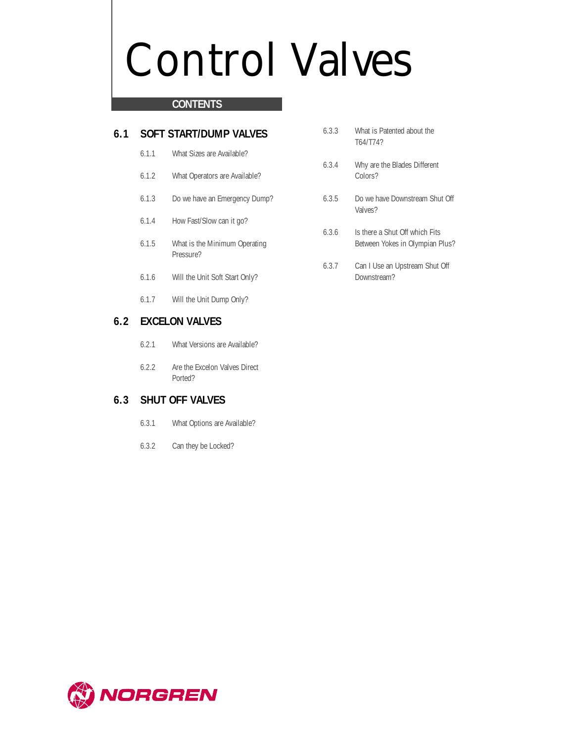## Control Valves

## **CONTENTS**

## **6.1 SOFT START/DUMP VALVES**

- 6.1.1 What Sizes are Available?
- 6.1.2 What Operators are Available?
- 6.1.3 Do we have an Emergency Dump?
- 6.1.4 How Fast/Slow can it go?
- 6.1.5 What is the Minimum Operating Pressure?
- 6.1.6 Will the Unit Soft Start Only?
- 6.1.7 Will the Unit Dump Only?

## **6.2 EXCELON VALVES**

- 6.2.1 What Versions are Available?
- 6.2.2 Are the Excelon Valves Direct Ported?

## **6.3 SHUT OFF VALVES**

- 6.3.1 What Options are Available?
- 6.3.2 Can they be Locked?
- 6.3.3 What is Patented about the T64/T74?
- 6.3.4 Why are the Blades Different Colors?
- 6.3.5 Do we have Downstream Shut Off Valves?
- 6.3.6 Is there a Shut Off which Fits Between Yokes in Olympian Plus?
- 6.3.7 Can I Use an Upstream Shut Off Downstream?

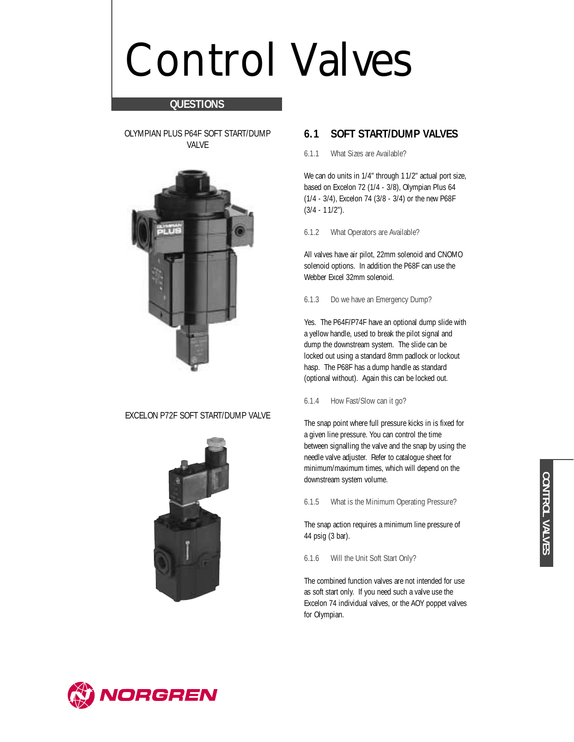## Control Valves

## **QUESTIONS**

OLYMPIAN PLUS P64F SOFT START/DUMP VALVE



### EXCELON P72F SOFT START/DUMP VALVE



## **6.1 SOFT START/DUMP VALVES**

6.1.1 What Sizes are Available?

We can do units in 1/4" through 11/2" actual port size, based on Excelon 72 (1/4 - 3/8), Olympian Plus 64 (1/4 - 3/4), Excelon 74 (3/8 - 3/4) or the new P68F (3/4 - 11/2").

6.1.2 What Operators are Available?

All valves have air pilot, 22mm solenoid and CNOMO solenoid options. In addition the P68F can use the Webber Excel 32mm solenoid.

6.1.3 Do we have an Emergency Dump?

Yes. The P64F/P74F have an optional dump slide with a yellow handle, used to break the pilot signal and dump the downstream system. The slide can be locked out using a standard 8mm padlock or lockout hasp. The P68F has a dump handle as standard (optional without). Again this can be locked out.

#### 6.1.4 How Fast/Slow can it go?

The snap point where full pressure kicks in is fixed for a given line pressure. You can control the time between signalling the valve and the snap by using the needle valve adjuster. Refer to catalogue sheet for minimum/maximum times, which will depend on the downstream system volume.

6.1.5 What is the Minimum Operating Pressure?

The snap action requires a minimum line pressure of 44 psig (3 bar).

6.1.6 Will the Unit Soft Start Only?

The combined function valves are not intended for use as soft start only. If you need such a valve use the Excelon 74 individual valves, or the AOY poppet valves for Olympian.



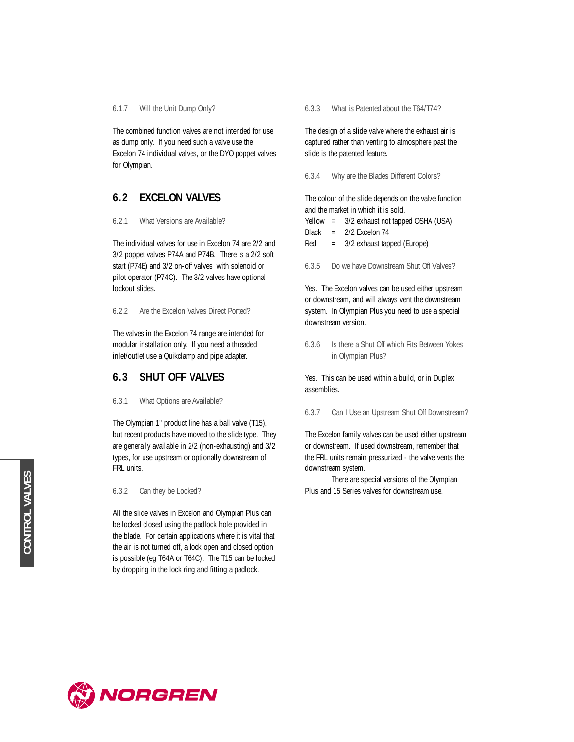6.1.7 Will the Unit Dump Only?

The combined function valves are not intended for use as dump only. If you need such a valve use the Excelon 74 individual valves, or the DYO poppet valves for Olympian.

## **6.2 EXCELON VALVES**

6.2.1 What Versions are Available?

The individual valves for use in Excelon 74 are 2/2 and 3/2 poppet valves P74A and P74B. There is a 2/2 soft start (P74E) and 3/2 on-off valves with solenoid or pilot operator (P74C). The 3/2 valves have optional lockout slides.

6.2.2 Are the Excelon Valves Direct Ported?

The valves in the Excelon 74 range are intended for modular installation only. If you need a threaded inlet/outlet use a Quikclamp and pipe adapter.

## **6.3 SHUT OFF VALVES**

6.3.1 What Options are Available?

The Olympian 1" product line has a ball valve (T15), but recent products have moved to the slide type. They are generally available in 2/2 (non-exhausting) and 3/2 types, for use upstream or optionally downstream of FRL units.

6.3.2 Can they be Locked?

All the slide valves in Excelon and Olympian Plus can be locked closed using the padlock hole provided in the blade. For certain applications where it is vital that the air is not turned off, a lock open and closed option is possible (eg T64A or T64C). The T15 can be locked by dropping in the lock ring and fitting a padlock.

6.3.3 What is Patented about the T64/T74?

The design of a slide valve where the exhaust air is captured rather than venting to atmosphere past the slide is the patented feature.

6.3.4 Why are the Blades Different Colors?

The colour of the slide depends on the valve function and the market in which it is sold.

| Yellow | 3/2 exhaust not tapped OSHA (USA) |  |  |  |
|--------|-----------------------------------|--|--|--|
|--------|-----------------------------------|--|--|--|

Black = 2/2 Excelon 74

Red = 3/2 exhaust tapped (Europe)

6.3.5 Do we have Downstream Shut Off Valves?

Yes. The Excelon valves can be used either upstream or downstream, and will always vent the downstream system. In Olympian Plus you need to use a special downstream version.

6.3.6 Is there a Shut Off which Fits Between Yokes in Olympian Plus?

Yes. This can be used within a build, or in Duplex assemblies.

6.3.7 Can I Use an Upstream Shut Off Downstream?

The Excelon family valves can be used either upstream or downstream. If used downstream, remember that the FRL units remain pressurized - the valve vents the downstream system.

There are special versions of the Olympian Plus and 15 Series valves for downstream use.

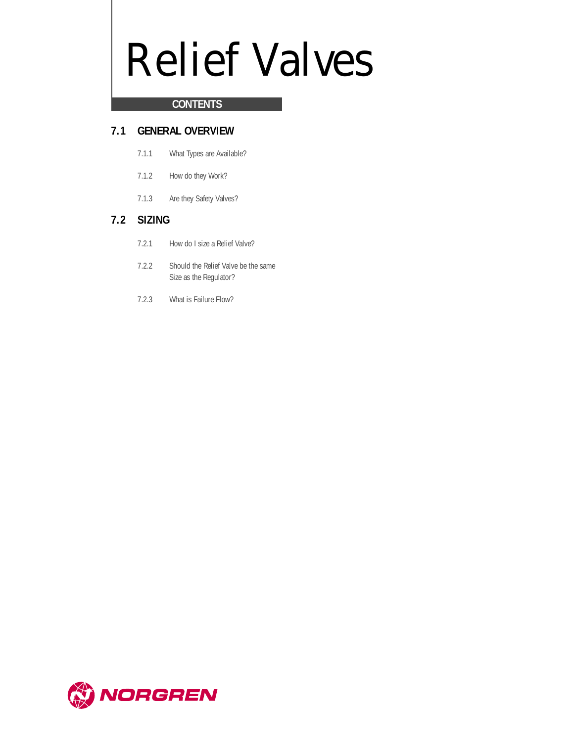## Relief Valves

## **CONTENTS**

## **7.1 GENERAL OVERVIEW**

- 7.1.1 What Types are Available?
- 7.1.2 How do they Work?
- 7.1.3 Are they Safety Valves?

## **7.2 SIZING**

- 7.2.1 How do I size a Relief Valve?
- 7.2.2 Should the Relief Valve be the same Size as the Regulator?
- 7.2.3 What is Failure Flow?

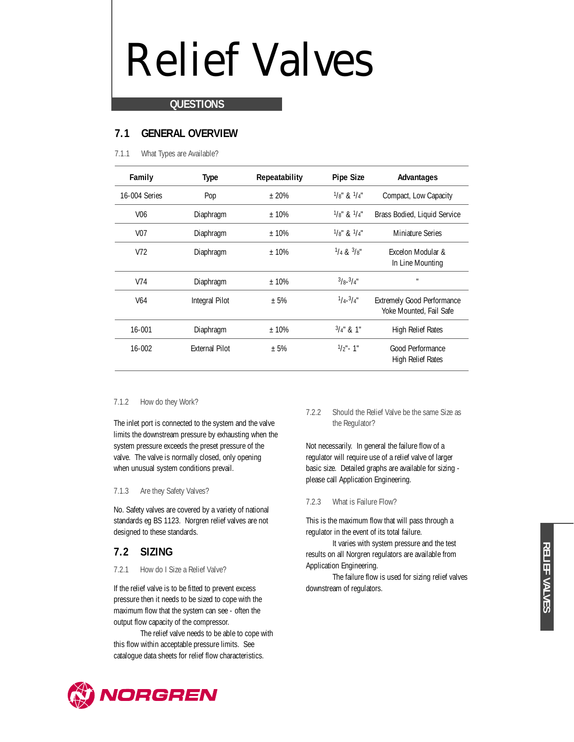## Relief Valves

### **QUESTIONS**

## **7.1 GENERAL OVERVIEW**

7.1.1 What Types are Available?

| Family          | <b>Type</b>           | Repeatability | <b>Pipe Size</b>                  | Advantages                                                   |
|-----------------|-----------------------|---------------|-----------------------------------|--------------------------------------------------------------|
| 16-004 Series   | Pop                   | $+20%$        | $1/8$ " & $1/4$ "                 | Compact, Low Capacity                                        |
| V <sub>06</sub> | Diaphragm             | $±10\%$       | $\frac{1}{8}$ " & $\frac{1}{4}$ " | Brass Bodied, Liquid Service                                 |
| V07             | Diaphragm             | $+10%$        | $1/8$ " & $1/4$ "                 | <b>Miniature Series</b>                                      |
| V <sub>72</sub> | Diaphragm             | $+10%$        | $\frac{1}{4}$ & $\frac{3}{8}$ "   | Excelon Modular &<br>In Line Mounting                        |
| V74             | Diaphragm             | $±10\%$       | $3/8 - 3/4$ "                     | $\mathbf{H}$                                                 |
| V <sub>64</sub> | Integral Pilot        | ± 5%          | $1/4 - 3/4$ "                     | <b>Extremely Good Performance</b><br>Yoke Mounted, Fail Safe |
| 16-001          | Diaphragm             | $±10\%$       | $3/4$ " & 1"                      | <b>High Relief Rates</b>                                     |
| $16 - 002$      | <b>External Pilot</b> | ± 5%          | $1/2"$ - 1"                       | Good Performance<br>High Relief Rates                        |

#### 7.1.2 How do they Work?

The inlet port is connected to the system and the valve limits the downstream pressure by exhausting when the system pressure exceeds the preset pressure of the valve. The valve is normally closed, only opening when unusual system conditions prevail.

#### 7.1.3 Are they Safety Valves?

No. Safety valves are covered by a variety of national standards eg BS 1123. Norgren relief valves are not designed to these standards.

## **7.2 SIZING**

#### 7.2.1 How do I Size a Relief Valve?

If the relief valve is to be fitted to prevent excess pressure then it needs to be sized to cope with the maximum flow that the system can see - often the output flow capacity of the compressor.

The relief valve needs to be able to cope with this flow within acceptable pressure limits. See catalogue data sheets for relief flow characteristics.

#### 7.2.2 Should the Relief Valve be the same Size as the Regulator?

Not necessarily. In general the failure flow of a regulator will require use of a relief valve of larger basic size. Detailed graphs are available for sizing please call Application Engineering.

#### 7.2.3 What is Failure Flow?

This is the maximum flow that will pass through a regulator in the event of its total failure.

It varies with system pressure and the test results on all Norgren regulators are available from Application Engineering.

The failure flow is used for sizing relief valves downstream of regulators.

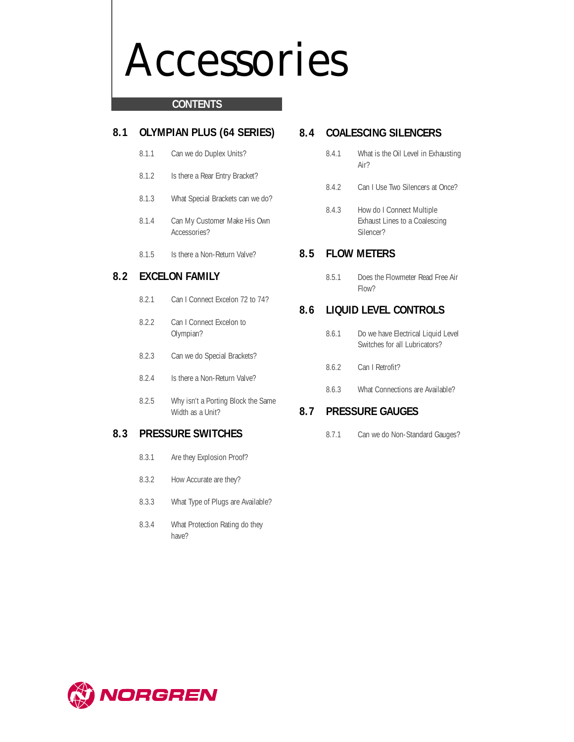## Accessories

### **CONTENTS**

## **8.1 OLYMPIAN PLUS (64 SERIES)**

- 8.1.1 Can we do Duplex Units?
- 8.1.2 Is there a Rear Entry Bracket?
- 8.1.3 What Special Brackets can we do?
- 8.1.4 Can My Customer Make His Own Accessories?
- 8.1.5 Is there a Non-Return Valve?

## **8.2 EXCELON FAMILY**

- 8.2.1 Can I Connect Excelon 72 to 74?
- 8.2.2 Can I Connect Excelon to Olympian?
- 8.2.3 Can we do Special Brackets?
- 8.2.4 Is there a Non-Return Valve?
- 8.2.5 Why isn't a Porting Block the Same Width as a Unit?

## **8.3 PRESSURE SWITCHES**

- 8.3.1 Are they Explosion Proof?
- 8.3.2 How Accurate are they?
- 8.3.3 What Type of Plugs are Available?
- 8.3.4 What Protection Rating do they have?

## **8.4 COALESCING SILENCERS**

- 8.4.1 What is the Oil Level in Exhausting Air?
- 8.4.2 Can I Use Two Silencers at Once?
- 8.4.3 How do I Connect Multiple Exhaust Lines to a Coalescing Silencer?

## **8.5 FLOW METERS**

8.5.1 Does the Flowmeter Read Free Air Flow?

## **8.6 LIQUID LEVEL CONTROLS**

- 8.6.1 Do we have Electrical Liquid Level Switches for all Lubricators?
- 8.6.2 Can I Retrofit?
- 8.6.3 What Connections are Available?

## **8.7 PRESSURE GAUGES**

8.7.1 Can we do Non-Standard Gauges?

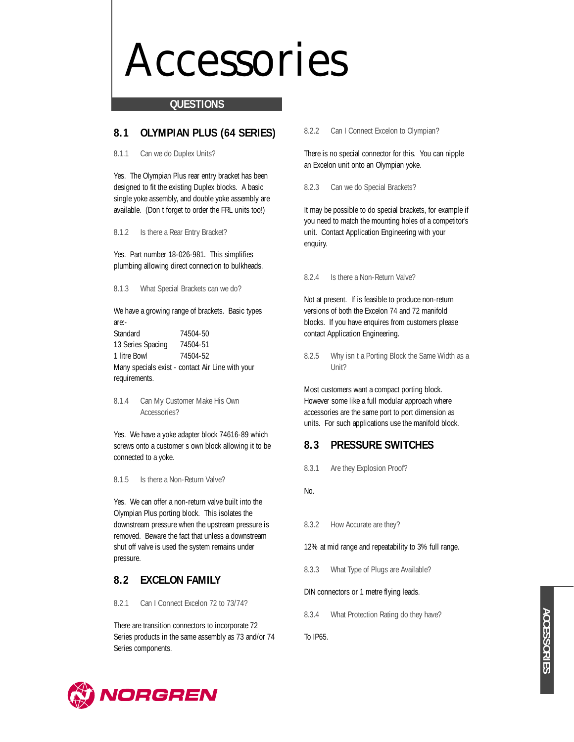## Accessories

#### **QUESTIONS**

## **8.1 OLYMPIAN PLUS (64 SERIES)**

8.1.1 Can we do Duplex Units?

Yes. The Olympian Plus rear entry bracket has been designed to fit the existing Duplex blocks. A basic single yoke assembly, and double yoke assembly are available. (Don t forget to order the FRL units too!)

8.1.2 Is there a Rear Entry Bracket?

Yes. Part number 18-026-981. This simplifies plumbing allowing direct connection to bulkheads.

8.1.3 What Special Brackets can we do?

We have a growing range of brackets. Basic types are:-

Standard 74504-50 13 Series Spacing 74504-51 1 litre Bowl 74504-52 Many specials exist - contact Air Line with your requirements.

8.1.4 Can My Customer Make His Own Accessories?

Yes. We have a yoke adapter block 74616-89 which screws onto a customer s own block allowing it to be connected to a yoke.

8.1.5 Is there a Non-Return Valve?

Yes. We can offer a non-return valve built into the Olympian Plus porting block. This isolates the downstream pressure when the upstream pressure is removed. Beware the fact that unless a downstream shut off valve is used the system remains under pressure.

## **8.2 EXCELON FAMILY**

8.2.1 Can I Connect Excelon 72 to 73/74?

There are transition connectors to incorporate 72 Series products in the same assembly as 73 and/or 74 Series components.

#### 8.2.2 Can I Connect Excelon to Olympian?

There is no special connector for this. You can nipple an Excelon unit onto an Olympian yoke.

8.2.3 Can we do Special Brackets?

It may be possible to do special brackets, for example if you need to match the mounting holes of a competitor's unit. Contact Application Engineering with your enquiry.

8.2.4 Is there a Non-Return Valve?

Not at present. If is feasible to produce non-return versions of both the Excelon 74 and 72 manifold blocks. If you have enquires from customers please contact Application Engineering.

8.2.5 Why isn t a Porting Block the Same Width as a Unit?

Most customers want a compact porting block. However some like a full modular approach where accessories are the same port to port dimension as units. For such applications use the manifold block.

### **8.3 PRESSURE SWITCHES**

8.3.1 Are they Explosion Proof?

No.

8.3.2 How Accurate are they?

12% at mid range and repeatability to 3% full range.

8.3.3 What Type of Plugs are Available?

#### DIN connectors or 1 metre flying leads.

8.3.4 What Protection Rating do they have?

To IP65.

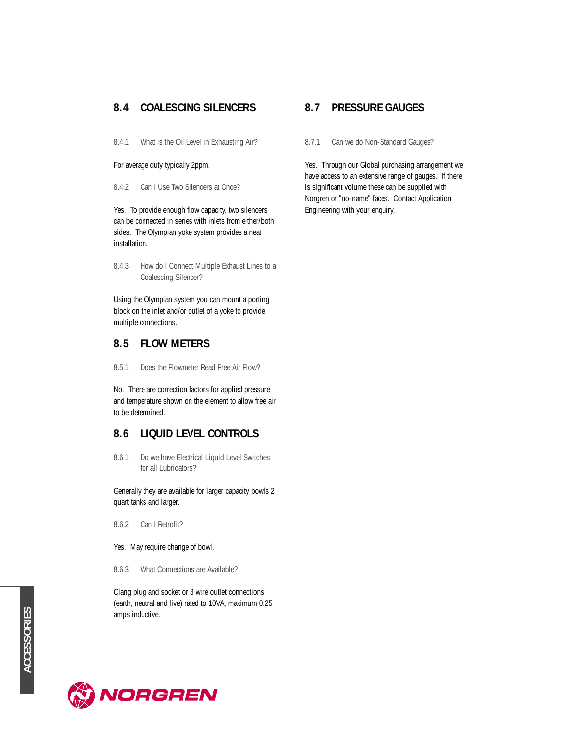## **8.4 COALESCING SILENCERS**

8.4.1 What is the Oil Level in Exhausting Air?

For average duty typically 2ppm.

8.4.2 Can I Use Two Silencers at Once?

Yes. To provide enough flow capacity, two silencers can be connected in series with inlets from either/both sides. The Olympian yoke system provides a neat installation.

8.4.3 How do I Connect Multiple Exhaust Lines to a Coalescing Silencer?

Using the Olympian system you can mount a porting block on the inlet and/or outlet of a yoke to provide multiple connections.

## **8.5 FLOW METERS**

8.5.1 Does the Flowmeter Read Free Air Flow?

No. There are correction factors for applied pressure and temperature shown on the element to allow free air to be determined.

## **8.6 LIQUID LEVEL CONTROLS**

8.6.1 Do we have Electrical Liquid Level Switches for all Lubricators?

Generally they are available for larger capacity bowls 2 quart tanks and larger.

- 8.6.2 Can I Retrofit?
- Yes. May require change of bowl.
- 8.6.3 What Connections are Available?

Clang plug and socket or 3 wire outlet connections (earth, neutral and live) rated to 10VA, maximum 0.25 amps inductive.

## **8.7 PRESSURE GAUGES**

8.7.1 Can we do Non-Standard Gauges?

Yes. Through our Global purchasing arrangement we have access to an extensive range of gauges. If there is significant volume these can be supplied with Norgren or "no-name" faces. Contact Application Engineering with your enquiry.

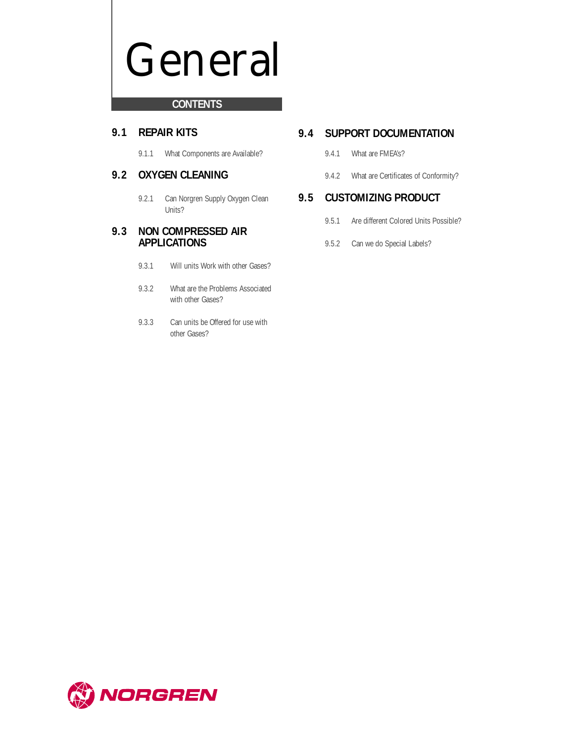## General

## **CONTENTS**

## **9.1 REPAIR KITS**

9.1.1 What Components are Available?

## **9.2 OXYGEN CLEANING**

9.2.1 Can Norgren Supply Oxygen Clean Units?

## **9.3 NON COMPRESSED AIR APPLICATIONS**

- 9.3.1 Will units Work with other Gases?
- 9.3.2 What are the Problems Associated with other Gases?
- 9.3.3 Can units be Offered for use with other Gases?

## **9.4 SUPPORT DOCUMENTATION**

- 9.4.1 What are FMEA's?
- 9.4.2 What are Certificates of Conformity?

## **9.5 CUSTOMIZING PRODUCT**

- 9.5.1 Are different Colored Units Possible?
- 9.5.2 Can we do Special Labels?

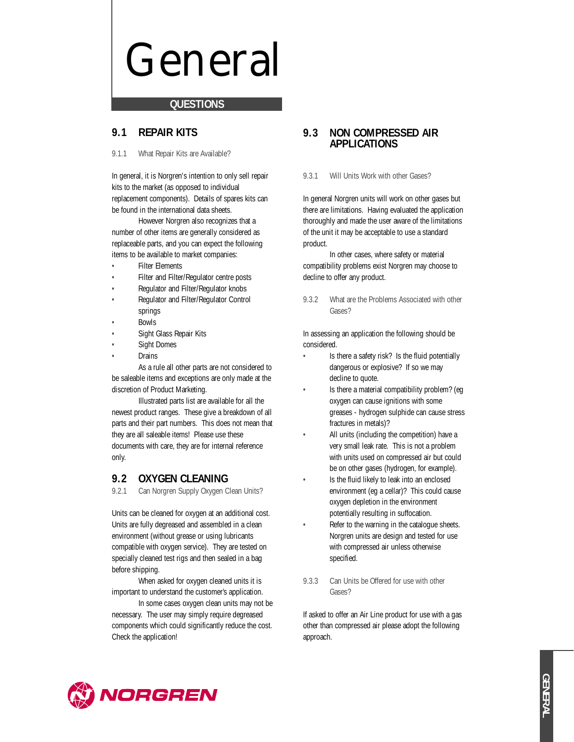## General

#### **QUESTIONS**

## **9.1 REPAIR KITS**

#### 9.1.1 What Repair Kits are Available?

In general, it is Norgren's intention to only sell repair kits to the market (as opposed to individual replacement components). Details of spares kits can be found in the international data sheets.

However Norgren also recognizes that a number of other items are generally considered as replaceable parts, and you can expect the following items to be available to market companies:

- **Filter Elements**
- Filter and Filter/Regulator centre posts
- Regulator and Filter/Regulator knobs
- Regulator and Filter/Regulator Control springs
- Bowls
- Sight Glass Repair Kits
- Sight Domes
- **Drains**

As a rule all other parts are not considered to be saleable items and exceptions are only made at the discretion of Product Marketing.

Illustrated parts list are available for all the newest product ranges. These give a breakdown of all parts and their part numbers. This does not mean that they are all saleable items! Please use these documents with care, they are for internal reference only.

## **9.2 OXYGEN CLEANING**

9.2.1 Can Norgren Supply Oxygen Clean Units?

Units can be cleaned for oxygen at an additional cost. Units are fully degreased and assembled in a clean environment (without grease or using lubricants compatible with oxygen service). They are tested on specially cleaned test rigs and then sealed in a bag before shipping.

When asked for oxygen cleaned units it is important to understand the customer's application.

In some cases oxygen clean units may not be necessary. The user may simply require degreased components which could significantly reduce the cost. Check the application!

## **9.3 NON COMPRESSED AIR APPLICATIONS**

#### 9.3.1 Will Units Work with other Gases?

In general Norgren units will work on other gases but there are limitations. Having evaluated the application thoroughly and made the user aware of the limitations of the unit it may be acceptable to use a standard product.

In other cases, where safety or material compatibility problems exist Norgren may choose to decline to offer any product.

9.3.2 What are the Problems Associated with other Gases?

In assessing an application the following should be considered.

- Is there a safety risk? Is the fluid potentially dangerous or explosive? If so we may decline to quote.
- Is there a material compatibility problem? (eq. oxygen can cause ignitions with some greases - hydrogen sulphide can cause stress fractures in metals)?
- All units (including the competition) have a very small leak rate. This is not a problem with units used on compressed air but could be on other gases (hydrogen, for example).
- Is the fluid likely to leak into an enclosed environment (eg a cellar)? This could cause oxygen depletion in the environment potentially resulting in suffocation.
- Refer to the warning in the catalogue sheets. Norgren units are design and tested for use with compressed air unless otherwise specified.
- 9.3.3 Can Units be Offered for use with other Gases?

If asked to offer an Air Line product for use with a gas other than compressed air please adopt the following approach.

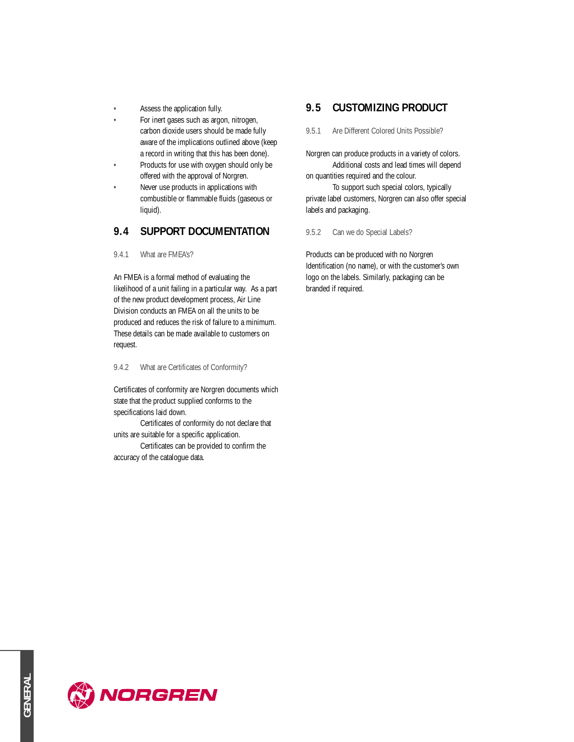- Assess the application fully.
- For inert gases such as argon, nitrogen, carbon dioxide users should be made fully aware of the implications outlined above (keep a record in writing that this has been done).
- Products for use with oxygen should only be offered with the approval of Norgren.
- Never use products in applications with combustible or flammable fluids (gaseous or liquid).

## **9.4 SUPPORT DOCUMENTATION**

9.4.1 What are FMEA's?

An FMEA is a formal method of evaluating the likelihood of a unit failing in a particular way. As a part of the new product development process, Air Line Division conducts an FMEA on all the units to be produced and reduces the risk of failure to a minimum. These details can be made available to customers on request.

9.4.2 What are Certificates of Conformity?

Certificates of conformity are Norgren documents which state that the product supplied conforms to the specifications laid down.

Certificates of conformity do not declare that units are suitable for a specific application.

Certificates can be provided to confirm the accuracy of the catalogue data.

## **9.5 CUSTOMIZING PRODUCT**

9.5.1 Are Different Colored Units Possible?

Norgren can produce products in a variety of colors. Additional costs and lead times will depend

on quantities required and the colour. To support such special colors, typically private label customers, Norgren can also offer special labels and packaging.

9.5.2 Can we do Special Labels?

Products can be produced with no Norgren Identification (no name), or with the customer's own logo on the labels. Similarly, packaging can be branded if required.